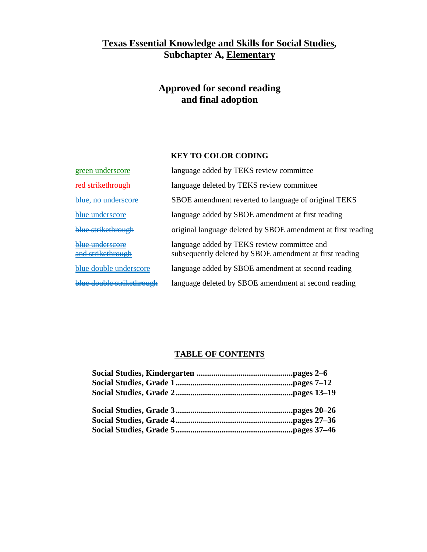## **Texas Essential Knowledge and Skills for Social Studies , Subchapter A, Elementary**

# **Approved for second reading and final adoption**

### **KEY TO COLOR CODING**

| green underscore                     | language added by TEKS review committee                                                                |
|--------------------------------------|--------------------------------------------------------------------------------------------------------|
| red strikethrough                    | language deleted by TEKS review committee                                                              |
| blue, no underscore                  | SBOE amendment reverted to language of original TEKS                                                   |
| blue underscore                      | language added by SBOE amendment at first reading                                                      |
| blue strikethrough                   | original language deleted by SBOE amendment at first reading                                           |
| blue underscore<br>and strikethrough | language added by TEKS review committee and<br>subsequently deleted by SBOE amendment at first reading |
| blue double underscore               | language added by SBOE amendment at second reading                                                     |
| hlue double strikethrough            | language deleted by SBOE amendment at second reading                                                   |
|                                      |                                                                                                        |

## **TABLE OF CONTENTS**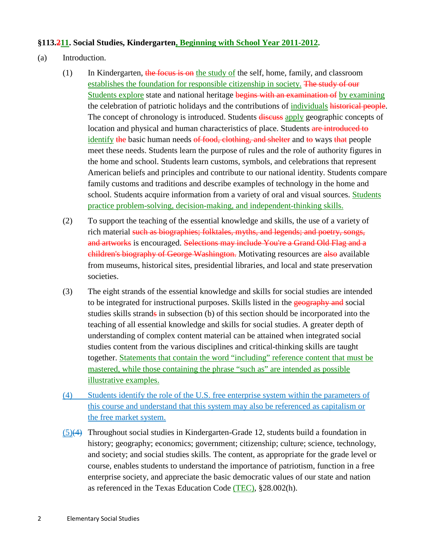#### **§113.211. Social Studies, Kindergarten, Beginning with School Year 2011-2012 .**

- (a) Introduction.
	- (1) In Kindergarten, the focus is on the study of the self, home, family, and classroom establishes the foundation for responsible citizenship in society. The study of our Students explore state and national heritage begins with an examination of by examining the celebration of patriotic holidays and the contributions of individuals historical people. The concept of chronology is introduced. Students **discuss** apply geographic concepts of location and physical and human characteristics of place. Students are introduced to identify the basic human needs of food, clothing, and shelter and to ways that people meet these needs. Students learn the purpose of rules and the role of authority figures in the home and school. Students learn customs, symbols, and celebrations that represent American beliefs and principles and contribute to our national identity. Students compare family customs and traditions and describe examples of technology in the home and school. Students acquire information from a variety of oral and visual sources. Students practice problem-solving, decision-making, and independent-thinking skills.
	- (2) To support the teaching of the essential knowledge and skills, the use of a variety of rich material such as biographies; folktales, myths, and legends; and poetry, songs, and artworks is encouraged. Selections may include You're a Grand Old Flag and a children's biography of George Washington. Motivating resources are also available from museums, historical sites, presidential libraries, and local and state preservation societies.
	- (3) The eight strands of the essential knowledge and skills for social studies are intended to be integrated for instructional purposes. Skills listed in the geography and social studies skills strands in subsection (b) of this section should be incorporated into the teaching of all essential knowledge and skills for social studies. A greater depth of understanding of complex content material can be attained when integrated social studies content from the various disciplines and critical-thinking skills are taught together. Statements that contain the word "including" reference content that must be mastered, while those containing the phrase "such as" are intended as possible illustrative examples.
	- (4) Students identify the role of the U.S. free enterprise system within the parameters of this course and understand that this system may also be referenced as capitalism or the free market system.
	- $(5)$ ( $\leftrightarrow$  Throughout social studies in Kindergarten-Grade 12, students build a foundation in history; geography; economics; government; citizenship; culture; science, technology, and society; and social studies skills. The content, as appropriate for the grade level or course, enables students to understand the importance of patriotism, function in a free enterprise society, and appreciate the basic democratic values of our state and nation as referenced in the Texas Education Code (TEC), §28.002(h).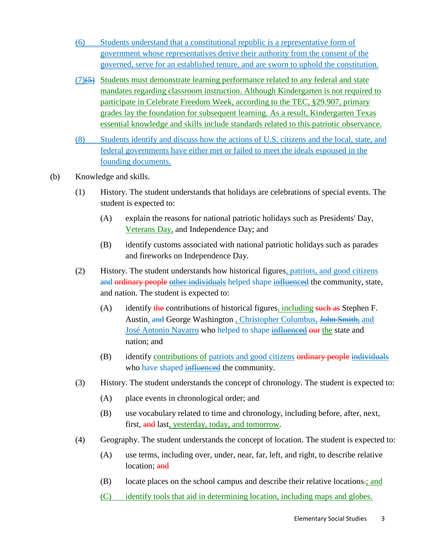- (6) Students understand that a constitutional republic is a representative form of government whose representatives derive their authority from the consent of the governed, serve for an established tenure, and are sworn to uphold the constitution.
- $(7)$ ( $\rightarrow$ ) Students must demonstrate learning performance related to any federal and state mandates regarding classroom instruction. Although Kindergarten is not required to participate in Celebrate Freedom Week, according to the TEC, §29.907, primary grades lay the foundation for subsequent learning. As a result, Kindergarten Texas essential knowledge and skills include standards related to this patriotic observance.
- (8) Students identify and discuss how the actions of U.S. citizens and the local, state, and federal governments have either met or failed to meet the ideals espoused in the founding documents.
- (b) Knowledge and skills.
	- (1) History. The student understands that holidays are celebrations of special events. The student is expected to:
		- (A) explain the reasons for national patriotic holidays such as Presidents' Day, Veterans Day, and Independence Day; and
		- (B) identify customs associated with national patriotic holidays such as parades and fireworks on Independence Day.
	- (2) History. The student understands how historical figures, patriots, and good citizens and ordinary people other individuals helped shape influenced the community, state, and nation. The student is expected to:
		- (A) identify the contributions of historical figures, including such as Stephen F. Austin, and George Washington, Christopher Columbus, John Smith, and José Antonio Navarro who helped to shape influenced our the state and nation; and
		- (B) identify contributions of patriots and good citizens ordinary people individuals who have shaped influenced the community.
	- (3) History. The student understands the concept of chronology. The student is expected to:
		- (A) place events in chronological order; and
		- (B) use vocabulary related to time and chronology, including before, after, next, first, and last<u>, yesterday, today, and tomorrow</u>.
	- (4) Geography. The student understands the concept of location. The student is expected to:
		- (A) use terms, including over, under, near, far, left, and right, to describe relative location: and
		- (B) locate places on the school campus and describe their relative locations.; and
		- (C) identify tools that aid in determining location, including maps and globes.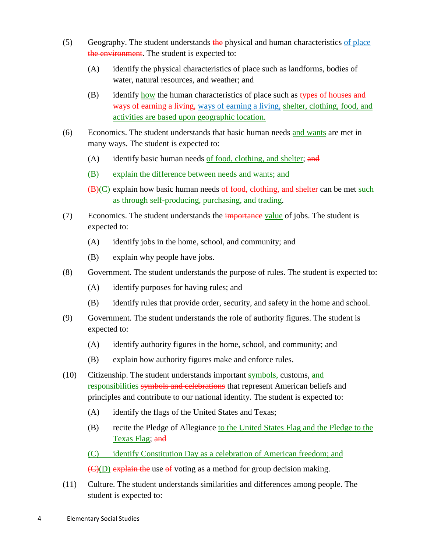- $(5)$  Geography. The student understands the physical and human characteristics of place the environment. The student is expected to:
	- (A) identify the physical characteristics of place such as landforms, bodies of water, natural resources, and weather; and
	- $(B)$  identify how the human characteristics of place such as types of houses and ways of earning a living, ways of earning a living, shelter, clothing, food, and activities are based upon geographic location.
- (6) Economics. The student understands that basic human needs and wants are met in many ways. The student is expected to:
	- (A) identify basic human needs of food, clothing, and shelter; and
	- (B) explain the difference between needs and wants; and
	- (B)(C) explain how basic human needs of food, clothing, and shelter can be met such as through self-producing, purchasing, and trading .
- (7) Economics. The student understands the *importance* value of jobs. The student is expected to:
	- (A) identify jobs in the home, school, and community; and
	- (B) explain why people have jobs.
- (8) Government. The student understands the purpose of rules. The student is expected to:
	- (A) identify purposes for having rules; and
	- (B) identify rules that provide order, security, and safety in the home and school.
- (9) Government. The student understands the role of authority figures. The student is expected to:
	- (A) identify authority figures in the home, school, and community; and
	- (B) explain how authority figures make and enforce rules.
- (10) Citizenship. The student understands important symbols, customs, and responsibilities symbols and celebrations that represent American beliefs and principles and contribute to our national identity. The student is expected to:
	- (A) identify the flags of the United States and Texas;
	- (B) recite the Pledge of Allegiance to the United States Flag and the Pledge to the Texas Flag; and
	- (C) identify Constitution Day as a celebration of American freedom; and

(C)(D) explain the use of voting as a method for group decision making.

(11) Culture. The student understands similarities and differences among people. The student is expected to: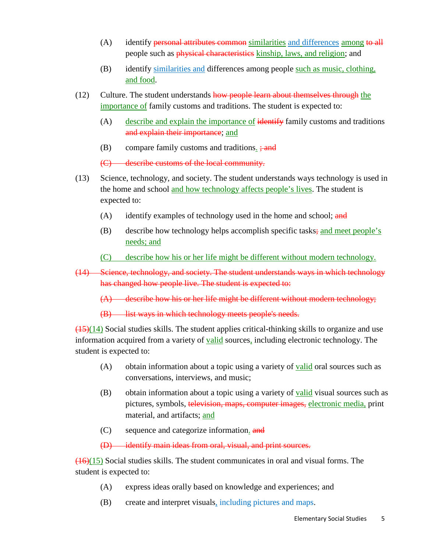- (A) identify **personal attributes common** similarities and differences among to all people such as *physical characteristics* kinship, laws, and religion; and
- (B) identify similarities and differences among people such as music, clothing, and food.
- (12) Culture. The student understands how people learn about themselves through the importance of family customs and traditions. The student is expected to:
	- $(A)$ describe and explain the importance of identify family customs and traditions and explain their importance; and
	- $(B)$  compare family customs and traditions.  $\frac{1}{2}$  and

(C) describe customs of the local community.

- (13) Science, technology, and society. The student understands ways technology is used in the home and school and how technology affects people's lives. The student is expected to:
	- $(A)$  identify examples of technology used in the home and school; and
	- (B) describe how technology helps accomplish specific tasks; and meet people's needs; and
	- (C) describe how his or her life might be different without modern technology.
- (14) Science, technology, and society. The student understands ways in which technology has changed how people live. The student is expected to:

(A) describe how his or her life might be different without modern technology;

(B) list ways in which technology meets people's needs.

 $(15)(14)$  Social studies skills. The student applies critical-thinking skills to organize and use information acquired from a variety of **valid** sources, including electronic technology. The student is expected to:

- (A) obtain information about a topic using a variety of **<u>valid</u>** oral sources such as conversations, interviews, and music;
- (B) obtain information about a topic using a variety of **valid** visual sources such as pictures, symbols, television, maps, computer images, electronic media, print material, and artifacts; <u>and</u>
- (C) sequence and categorize information. and

(D) identify main ideas from oral, visual, and print sources.

 $(16)(15)$  Social studies skills. The student communicates in oral and visual forms. The student is expected to:

- (A) express ideas orally based on knowledge and experiences; and
- (B) create and interpret visuals, including pictures and maps.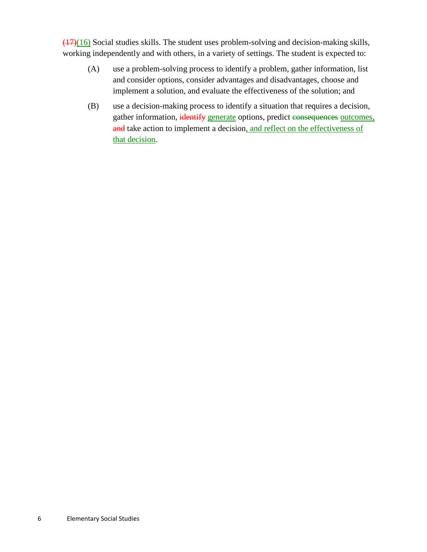$\frac{(17)(16)}{20}$  Social studies skills. The student uses problem-solving and decision-making skills, working independently and with others, in a variety of settings. The student is expected to:

- (A) use a problem-solving process to identify a problem, gather information, list and consider options, consider advantages and disadvantages, choose and implement a solution, and evaluate the effectiveness of the solution; and
- (B) use a decision-making process to identify a situation that requires a decision, gather information, identify generate options, predict consequences outcomes, and take action to implement a decision, and reflect on the effectiveness of that decision.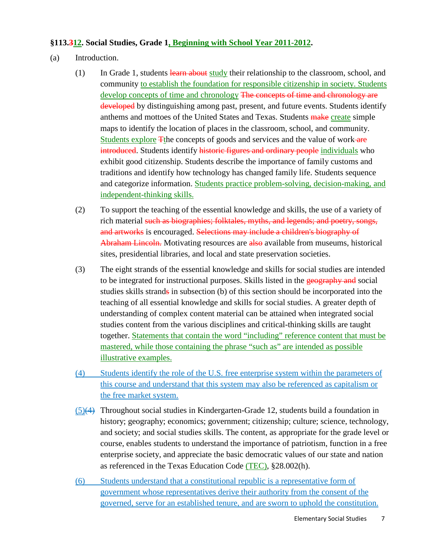#### **§113.312. Social Studies, Grade 1, Beginning with School Year 2011-2012 .**

- (a) Introduction.
	- (1) In Grade 1, students learn about study their relationship to the classroom, school, and community to establish the foundation for responsible citizenship in society. Students develop concepts of time and chronology The concepts of time and chronology are developed by distinguishing among past, present, and future events. Students identify anthems and mottoes of the United States and Texas. Students make create simple maps to identify the location of places in the classroom, school, and community. Students explore The concepts of goods and services and the value of work are introduced. Students identify historic figures and ordinary people individuals who exhibit good citizenship. Students describe the importance of family customs and traditions and identify how technology has changed family life. Students sequence and categorize information. Students practice problem-solving, decision-making, and independent-thinking skills.
	- (2) To support the teaching of the essential knowledge and skills, the use of a variety of rich material such as biographies; folktales, myths, and legends; and poetry, songs, and artworks is encouraged. Selections may include a children's biography of Abraham Lincoln. Motivating resources are also available from museums, historical sites, presidential libraries, and local and state preservation societies.
	- (3) The eight strands of the essential knowledge and skills for social studies are intended to be integrated for instructional purposes. Skills listed in the geography and social studies skills strands in subsection (b) of this section should be incorporated into the teaching of all essential knowledge and skills for social studies. A greater depth of understanding of complex content material can be attained when integrated social studies content from the various disciplines and critical-thinking skills are taught together. Statements that contain the word "including" reference content that must be mastered, while those containing the phrase "such as" are intended as possible illustrative examples.
	- (4) Students identify the role of the U.S. free enterprise system within the parameters of this course and understand that this system may also be referenced as capitalism or the free market system.
	- $(5)$ (4) Throughout social studies in Kindergarten-Grade 12, students build a foundation in history; geography; economics; government; citizenship; culture; science, technology, and society; and social studies skills. The content, as appropriate for the grade level or course, enables students to understand the importance of patriotism, function in a free enterprise society, and appreciate the basic democratic values of our state and nation as referenced in the Texas Education Code (TEC), §28.002(h).
	- (6) Students understand that a constitutional republic is a representative form of government whose representatives derive their authority from the consent of the governed, serve for an established tenure, and are sworn to uphold the constitution.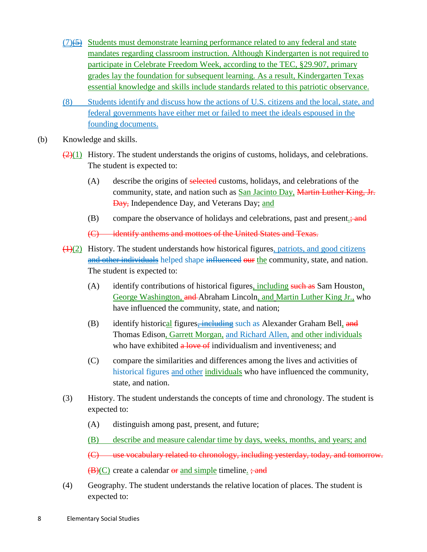- $(7)$ ( $\leftrightarrow$ ) Students must demonstrate learning performance related to any federal and state mandates regarding classroom instruction. Although Kindergarten is not required to participate in Celebrate Freedom Week, according to the TEC, §29.907, primary grades lay the foundation for subsequent learning. As a result, Kindergarten Texas essential knowledge and skills include standards related to this patriotic observance.
- (8) Students identify and discuss how the actions of U.S. citizens and the local, state, and federal governments have either met or failed to meet the ideals espoused in the founding documents.
- (b) Knowledge and skills.
	- $\frac{2(1)}{2(1)}$  History. The student understands the origins of customs, holidays, and celebrations. The student is expected to:
		- (A) describe the origins of selected customs, holidays, and celebrations of the community, state, and nation such as **San Jacinto Day**, Martin Luther King, Jr. <del>Day,</del> Independence Day, and Veterans Day; <u>and</u>
		- (B) compare the observance of holidays and celebrations, past and present. $\frac{1}{2}$ ; and

(C) identify anthems and mottoes of the United States and Texas.

- $(1)(2)$  History. The student understands how historical figures, patriots, and good citizens and other individuals helped shape influenced our the community, state, and nation. The student is expected to:
	- (A) identify contributions of historical figures, including such as Sam Houston, George Washington, and Abraham Lincoln, and Martin Luther King Jr., who have influenced the community, state, and nation;
	- (B) identify historical figures<del>, including</del> such as Alexander Graham Bell, and Thomas Edison, Garrett Morgan, and Richard Allen, and other individuals who have exhibited a love of individualism and inventiveness; and
	- (C) compare the similarities and differences among the lives and activities of historical figures and other individuals who have influenced the community, state, and nation.
- (3) History. The student understands the concepts of time and chronology. The student is expected to:
	- (A) distinguish among past, present, and future;
	- (B) describe and measure calendar time by days, weeks, months, and years; and

(C) use vocabulary related to chronology, including yesterday, today, and tomorrow.

(B)(C) create a calendar or and simple timeline. ; and

(4) Geography. The student understands the relative location of places. The student is expected to: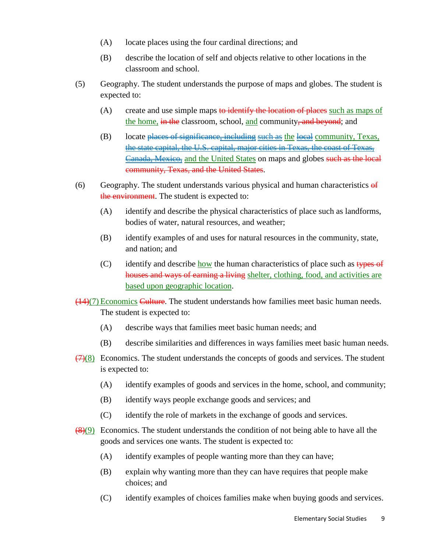- (A) locate places using the four cardinal directions; and
- (B) describe the location of self and objects relative to other locations in the classroom and school.
- (5) Geography. The student understands the purpose of maps and globes. The student is expected to:
	- (A) create and use simple maps to identify the location of places such as maps of the home, i<del>n the</del> classroom, school, <u>and</u> community<del>, and beyond</del>; and
	- (B) locate places of significance, including such as the local community, Texas, the state capital, the U.S. capital, major cities in Texas, the coast of Texas, Canada, Mexico, and the United States on maps and globes such as the local community, Texas, and the United States.
- (6) Geography. The student understands various physical and human characteristics  $\theta f$ the environment. The student is expected to:
	- (A) identify and describe the physical characteristics of place such as landforms, bodies of water, natural resources, and weather;
	- (B) identify examples of and uses for natural resources in the community, state, and nation; and
	- (C) identify and describe how the human characteristics of place such as  $\frac{1}{\text{types of}}$ houses and ways of earning a living shelter, clothing, food, and activities are based upon geographic location.
- (14)(7) Economics Culture. The student understands how families meet basic human needs. The student is expected to:
	- (A) describe ways that families meet basic human needs; and
	- (B) describe similarities and differences in ways families meet basic human needs.
- $\left(\frac{7}{8}\right)$  Economics. The student understands the concepts of goods and services. The student is expected to:
	- (A) identify examples of goods and services in the home, school, and community;
	- (B) identify ways people exchange goods and services; and
	- (C) identify the role of markets in the exchange of goods and services.
- $\frac{(8)(9)}{8}$  Economics. The student understands the condition of not being able to have all the goods and services one wants. The student is expected to:
	- (A) identify examples of people wanting more than they can have;
	- (B) explain why wanting more than they can have requires that people make choices; and
	- (C) identify examples of choices families make when buying goods and services.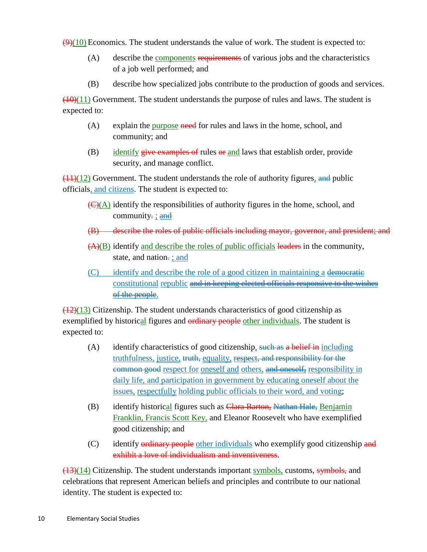$(9)(10)$  Economics. The student understands the value of work. The student is expected to:

- (A) describe the **components requirements** of various jobs and the characteristics of a job well performed; and
- (B) describe how specialized jobs contribute to the production of goods and services.

 $(10)(11)$  Government. The student understands the purpose of rules and laws. The student is expected to:

- (A) explain the purpose need for rules and laws in the home, school, and community; and
- (B) identify give examples of rules or and laws that establish order, provide security, and manage conflict.

 $\frac{(11)(12)}{20}$  Government. The student understands the role of authority figures, and public officials, and citizens. The student is expected to:

- $\left(\frac{C}{A}\right)$  identify the responsibilities of authority figures in the home, school, and community<del>.</del> <u>; and</u>
- (B) describe the roles of public officials including mayor, governor, and president; and
- $(A)(B)$  identify and describe the roles of public officials leaders in the community, state, and nation-; and
- (C) identify and describe the role of a good citizen in maintaining a democratic constitutional republic and in keeping elected officials responsive to the wishes of the people.

 $\left(\frac{12}{13}\right)$  Citizenship. The student understands characteristics of good citizenship as exemplified by historical figures and ordinary people other individuals. The student is expected to:

- (A) identify characteristics of good citizenship, such as a belief in including truthfulness, justice, truth, equality, respect, and responsibility for the common good respect for oneself and others, and oneself, responsibility in daily life, and participation in government by educating oneself about the issues, respectfully holding public officials to their word, and voting;
- (B) identify historical figures such as Clara Barton, Nathan Hale, Benjamin Franklin, Francis Scott Key, and Eleanor Roosevelt who have exemplified good citizenship; and
- (C) identify ordinary people other individuals who exemplify good citizenship and exhibit a love of individualism and inventiveness.

(13)(14) Citizenship. The student understands important symbols, customs, symbols, and celebrations that represent American beliefs and principles and contribute to our national identity. The student is expected to: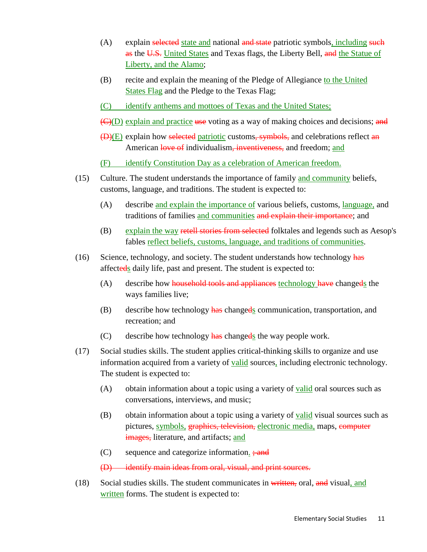- (A) explain selected state and national and state patriotic symbols, including such as the U.S. United States and Texas flags, the Liberty Bell, and the Statue of Liberty, and the Alamo;
- (B) recite and explain the meaning of the Pledge of Allegiance to the United States Flag and the Pledge to the Texas Flag;
- (C) identify anthems and mottoes of Texas and the United States;
- (C)(D) explain and practice use voting as a way of making choices and decisions; and
- (D)(E) explain how selected patriotic customs, symbols, and celebrations reflect an American love of individualism, inventiveness, and freedom; and
- (F) identify Constitution Day as a celebration of American freedom.
- (15) Culture. The student understands the importance of family and community beliefs, customs, language, and traditions. The student is expected to:
	- (A) describe and explain the importance of various beliefs, customs, language, and traditions of families and communities and explain their importance; and
	- (B) explain the way retell stories from selected folktales and legends such as Aesop's fables reflect beliefs, customs, language, and traditions of communities.
- (16) Science, technology, and society. The student understands how technology has affecteds daily life, past and present. The student is expected to:
	- (A) describe how household tools and appliances technology have changeds the ways families live;
	- (B) describe how technology  $\frac{\text{has}}{\text{has}}$  changeds communication, transportation, and recreation; and
	- (C) describe how technology  $\frac{\text{has}}{\text{has}}$  changeds the way people work.
- (17) Social studies skills. The student applies critical-thinking skills to organize and use information acquired from a variety of **valid** sources, including electronic technology. The student is expected to:
	- (A) obtain information about a topic using a variety of **valid** oral sources such as conversations, interviews, and music;
	- (B) obtain information about a topic using a variety of **valid** visual sources such as pictures, symbols, graphics, television, electronic media, maps, computer <del>images,</del> literature, and artifacts; <u>and</u>
	- $(C)$  sequence and categorize information.  $\frac{1}{2}$  and
	- (D) identify main ideas from oral, visual, and print sources.
- (18) Social studies skills. The student communicates in written, oral, and visual, and written forms. The student is expected to: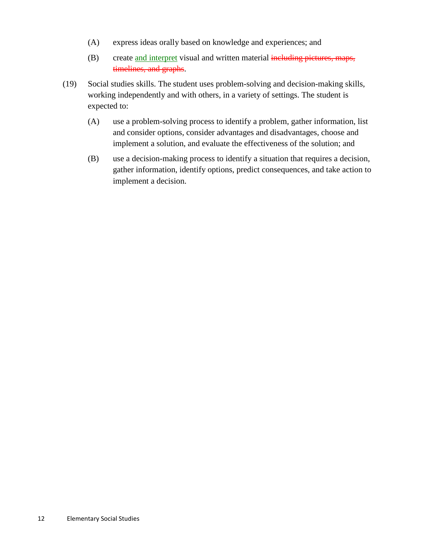- (A) express ideas orally based on knowledge and experiences; and
- (B) create and interpret visual and written material including pictures, maps, timelines, and graphs.
- (19) Social studies skills. The student uses problem-solving and decision-making skills, working independently and with others, in a variety of settings. The student is expected to:
	- (A) use a problem-solving process to identify a problem, gather information, list and consider options, consider advantages and disadvantages, choose and implement a solution, and evaluate the effectiveness of the solution; and
	- (B) use a decision-making process to identify a situation that requires a decision, gather information, identify options, predict consequences, and take action to implement a decision.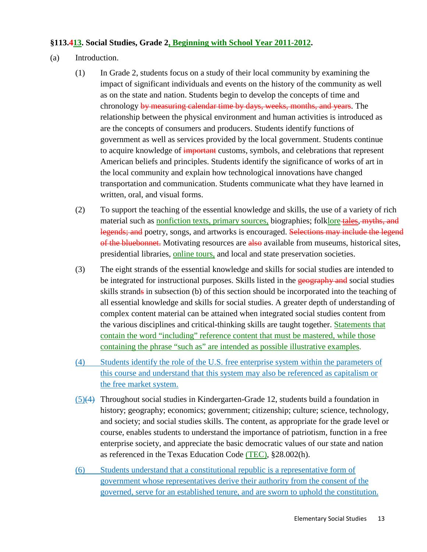#### **§113.413. Social Studies, Grade 2, Beginning with School Year 2011-2012 .**

- (a) Introduction.
	- (1) In Grade 2, students focus on a study of their local community by examining the impact of significant individuals and events on the history of the community as well as on the state and nation. Students begin to develop the concepts of time and chronology by measuring calendar time by days, weeks, months, and years. The relationship between the physical environment and human activities is introduced as are the concepts of consumers and producers. Students identify functions of government as well as services provided by the local government. Students continue to acquire knowledge of important customs, symbols, and celebrations that represent American beliefs and principles. Students identify the significance of works of art in the local community and explain how technological innovations have changed transportation and communication. Students communicate what they have learned in written, oral, and visual forms.
	- (2) To support the teaching of the essential knowledge and skills, the use of a variety of rich material such as nonfiction texts, primary sources, biographies; folklore tales, myths, and legends; and poetry, songs, and artworks is encouraged. Selections may include the legend of the bluebonnet. Motivating resources are also available from museums, historical sites, presidential libraries, *online tours*, and local and state preservation societies.
	- (3) The eight strands of the essential knowledge and skills for social studies are intended to be integrated for instructional purposes. Skills listed in the geography and social studies skills strands in subsection (b) of this section should be incorporated into the teaching of all essential knowledge and skills for social studies. A greater depth of understanding of complex content material can be attained when integrated social studies content from the various disciplines and critical-thinking skills are taught together. **Statements that** contain the word "including" reference content that must be mastered, while those containing the phrase "such as" are intended as possible illustrative examples.
	- (4) Students identify the role of the U.S. free enterprise system within the parameters of this course and understand that this system may also be referenced as capitalism or the free market system.
	- (5)(4) Throughout social studies in Kindergarten-Grade 12, students build a foundation in history; geography; economics; government; citizenship; culture; science, technology, and society; and social studies skills. The content, as appropriate for the grade level or course, enables students to understand the importance of patriotism, function in a free enterprise society, and appreciate the basic democratic values of our state and nation as referenced in the Texas Education Code (TEC), §28.002(h).
	- (6) Students understand that a constitutional republic is a representative form of government whose representatives derive their authority from the consent of the governed, serve for an established tenure, and are sworn to uphold the constitution.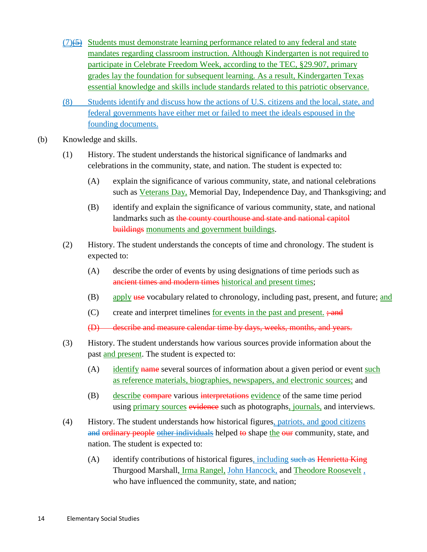- $(7)$ ( $\rightarrow$ ) Students must demonstrate learning performance related to any federal and state mandates regarding classroom instruction. Although Kindergarten is not required to participate in Celebrate Freedom Week, according to the TEC, §29.907, primary grades lay the foundation for subsequent learning. As a result, Kindergarten Texas essential knowledge and skills include standards related to this patriotic observance.
- (8) Students identify and discuss how the actions of U.S. citizens and the local, state, and federal governments have either met or failed to meet the ideals espoused in the founding documents.
- (b) Knowledge and skills.
	- (1) History. The student understands the historical significance of landmarks and celebrations in the community, state, and nation. The student is expected to:
		- (A) explain the significance of various community, state, and national celebrations such as *Veterans Day*, Memorial Day, Independence Day, and Thanksgiving; and
		- (B) identify and explain the significance of various community, state, and national landmarks such as the county courthouse and state and national capitol buildings monuments and government buildings.
	- (2) History. The student understands the concepts of time and chronology. The student is expected to:
		- (A) describe the order of events by using designations of time periods such as ancient times and modern times historical and present times;
		- (B) apply use vocabulary related to chronology, including past, present, and future; and
		- (C) create and interpret timelines <u>for events in the past and present.</u>; and
		- (D) describe and measure calendar time by days, weeks, months, and years.
	- (3) History. The student understands how various sources provide information about the past **and present**. The student is expected to:
		- (A) identify name several sources of information about a given period or event such as reference materials, biographies, newspapers, and electronic sources; and
		- (B) describe compare various interpretations evidence of the same time period using *primary sources* evidence such as photographs, journals, and interviews.
	- (4) History. The student understands how historical figures, patriots, and good citizens and ordinary people other individuals helped to shape the our community, state, and nation. The student is expected to:
		- (A) identify contributions of historical figures, including such as Henrietta King Thurgood Marshall, Irma Rangel, John Hancock, and Theodore Roosevelt , who have influenced the community, state, and nation;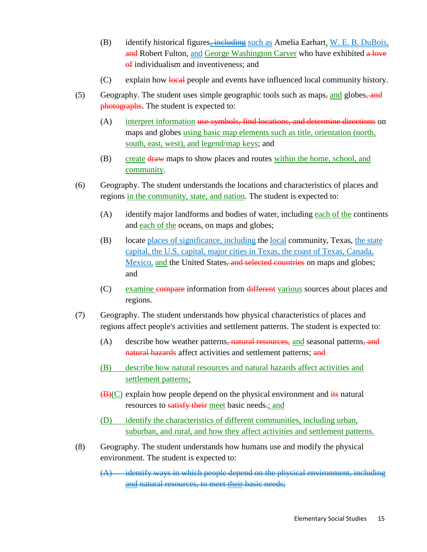- (B) identify historical figures $\frac{1}{2}$  including such as Amelia Earhart, W. E. B. DuBois, and Robert Fulton, and George Washington Carver who have exhibited a love of individualism and inventiveness; and
- (C) explain how local people and events have influenced local community history.
- (5) Geography. The student uses simple geographic tools such as maps, and globes, and photographs. The student is expected to:
	- $(A)$ interpret information use symbols, find locations, and determine directions on maps and globes using basic map elements such as title, orientation (north, south, east, west), and legend/map keys; and
	- (B) create draw maps to show places and routes within the home, school, and community.
- (6) Geography. The student understands the locations and characteristics of places and regions in the community, state, and nation. The student is expected to:
	- (A) identify major landforms and bodies of water, including each of the continents and each of the oceans, on maps and globes;
	- (B) locate places of significance, including the local community, Texas, the state capital, the U.S. capital, major cities in Texas, the coast of Texas, Canada, Mexico, and the United States, and selected countries on maps and globes; and
	- (C) examine compare information from different various sources about places and regions.
- (7) Geography. The student understands how physical characteristics of places and regions affect people's activities and settlement patterns. The student is expected to:
	- (A) describe how weather patterns, natural resources, and seasonal patterns, and natural hazards affect activities and settlement patterns; and
	- (B) describe how natural resources and natural hazards affect activities and settlement patterns;
	- $(B)(C)$  explain how people depend on the physical environment and  $\frac{d}{dt}$  natural resources to satisfy their meet basic needs.; and
	- (D) identify the characteristics of different communities, including urban, suburban, and rural, and how they affect activities and settlement patterns.
- (8) Geography. The student understands how humans use and modify the physical environment. The student is expected to:

 $(A)$  identify ways in which people depend on the physical environment, including and natural resources, to meet their basic needs;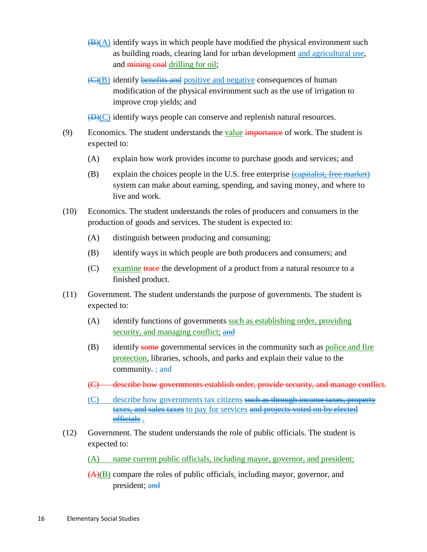- $\bigoplus$ (A) identify ways in which people have modified the physical environment such as building roads, clearing land for urban development and agricultural use, and mining coal drilling for oil;
- (C)(B) identify **benefits and** positive and negative consequences of human modification of the physical environment such as the use of irrigation to improve crop yields; and

 $\bigoplus$  (C) identify ways people can conserve and replenish natural resources.

- (9) Economics. The student understands the <u>value</u> importance of work. The student is expected to:
	- (A) explain how work provides income to purchase goods and services; and
	- (B) explain the choices people in the U.S. free enterprise (capitalist, free market) system can make about earning, spending, and saving money, and where to live and work.
- (10) Economics. The student understands the roles of producers and consumers in the production of goods and services. The student is expected to:
	- (A) distinguish between producing and consuming;
	- (B) identify ways in which people are both producers and consumers; and
	- (C) examine trace the development of a product from a natural resource to a finished product.
- (11) Government. The student understands the purpose of governments. The student is expected to:
	- (A) identify functions of governments such as establishing order, providing security, and managing conflict; and
	- (B) identify some governmental services in the community such as police and fire protection, libraries, schools, and parks and explain their value to the community $\frac{1}{x}$ ; and
	- (C) describe how governments establish order, provide security, and manage conflict.
	- (C) describe how governments tax citizens such as through income taxes, property taxes, and sales taxes to pay for services and projects voted on by elected officials .
- (12) Government. The student understands the role of public officials. The student is expected to:
	- (A) name current public officials, including mayor, governor, and president;
	- $(A)(B)$  compare the roles of public officials, including mayor, governor, and president; and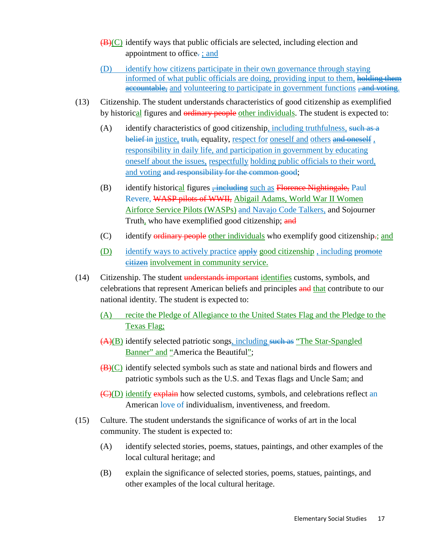- $(\mathbf{B})(C)$  identify ways that public officials are selected, including election and appointment to office.: ; and
- (D) identify how citizens participate in their own governance through staying informed of what public officials are doing, providing input to them, holding them accountable, and volunteering to participate in government functions <del>, and voting</del>.
- (13) Citizenship. The student understands characteristics of good citizenship as exemplified by historical figures and ordinary people other individuals. The student is expected to:
	- (A) identify characteristics of good citizenship<u>, including truthfulness</u>, such as a belief in justice, truth, equality, respect for <u>oneself and</u> others and oneself, responsibility in daily life, and participation in government by educating oneself about the issues, respectfully holding public officials to their word, and voting and responsibility for the common good;
	- (B) identify historical figures **follogieal** such as Florence Nightingale, Paul Revere, WASP pilots of WWII, Abigail Adams, World War II Women Airforce Service Pilots (WASPs) and Navajo Code Talkers, and Sojourner Truth, who have exemplified good citizenship; and
	- (C) identify ordinary people other individuals who exemplify good citizenship-; and
	- (D) identify ways to actively practice apply good citizenship, including promote citizen involvement in community service.
- (14) Citizenship. The student understands important identifies customs, symbols, and celebrations that represent American beliefs and principles and that contribute to our national identity. The student is expected to:
	- (A) recite the Pledge of Allegiance to the United States Flag and the Pledge to the Texas Flag;
	- (A)(B) identify selected patriotic songs<u>, including such as "The Star-Spangled</u> Banner" and "America the Beautiful";
	- $(B)(C)$  identify selected symbols such as state and national birds and flowers and patriotic symbols such as the U.S. and Texas flags and Uncle Sam; and
	- (C)(D) identify explain how selected customs, symbols, and celebrations reflect an American love of individualism, inventiveness, and freedom.
- (15) Culture. The student understands the significance of works of art in the local community. The student is expected to:
	- (A) identify selected stories, poems, statues, paintings, and other examples of the local cultural heritage; and
	- (B) explain the significance of selected stories, poems, statues, paintings, and other examples of the local cultural heritage.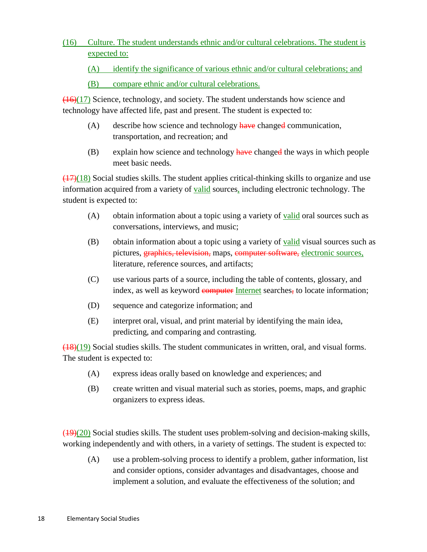(16) Culture. The student understands ethnic and/or cultural celebrations. The student is expected to:

(A) identify the significance of various ethnic and/or cultural celebrations; and

### (B) compare ethnic and/or cultural celebrations.

 $(16)(17)$  Science, technology, and society. The student understands how science and technology have affected life, past and present. The student is expected to:

- $(A)$  describe how science and technology have changed communication, transportation, and recreation; and
- $(B)$  explain how science and technology have changed the ways in which people meet basic needs.

(17)(18) Social studies skills. The student applies critical-thinking skills to organize and use information acquired from a variety of **valid** sources, including electronic technology. The student is expected to:

- (A) obtain information about a topic using a variety of **valid** oral sources such as conversations, interviews, and music;
- (B) obtain information about a topic using a variety of **valid** visual sources such as pictures, graphics, television, maps, computer software, electronic sources, literature, reference sources, and artifacts;
- (C) use various parts of a source, including the table of contents, glossary, and index, as well as keyword computer Internet searches, to locate information;
- (D) sequence and categorize information; and
- (E) interpret oral, visual, and print material by identifying the main idea, predicting, and comparing and contrasting.

 $(18)(19)$  Social studies skills. The student communicates in written, oral, and visual forms. The student is expected to:

- (A) express ideas orally based on knowledge and experiences; and
- (B) create written and visual material such as stories, poems, maps, and graphic organizers to express ideas.

 $(19)(20)$  Social studies skills. The student uses problem-solving and decision-making skills, working independently and with others, in a variety of settings. The student is expected to:

(A) use a problem-solving process to identify a problem, gather information, list and consider options, consider advantages and disadvantages, choose and implement a solution, and evaluate the effectiveness of the solution; and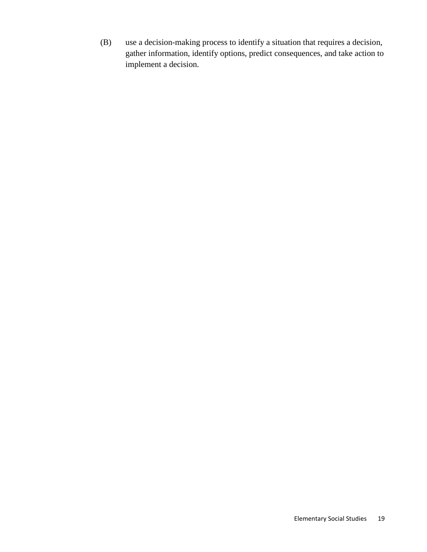(B) use a decision-making process to identify a situation that requires a decision, gather information, identify options, predict consequences, and take action to implement a decision.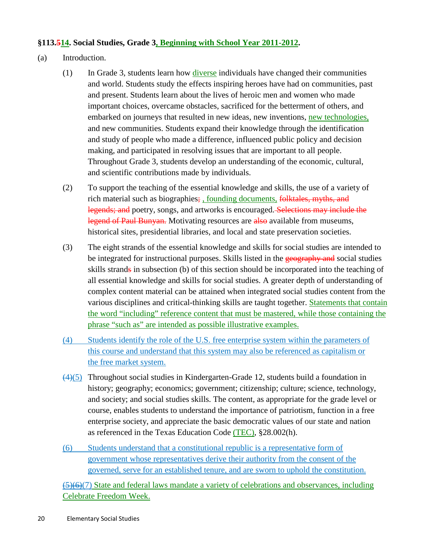#### **§113.514. Social Studies, Grade 3, Beginning with School Year 2011-2012 .**

- (a) Introduction.
	- (1) In Grade 3, students learn how diverse individuals have changed their communities and world. Students study the effects inspiring heroes have had on communities, past and present. Students learn about the lives of heroic men and women who made important choices, overcame obstacles, sacrificed for the betterment of others, and embarked on journeys that resulted in new ideas, new inventions, new technologies, and new communities. Students expand their knowledge through the identification and study of people who made a difference, influenced public policy and decision making, and participated in resolving issues that are important to all people. Throughout Grade 3, students develop an understanding of the economic, cultural, and scientific contributions made by individuals.
	- (2) To support the teaching of the essential knowledge and skills, the use of a variety of rich material such as biographies; founding documents, folktales, myths, and legends; and poetry, songs, and artworks is encouraged. Selections may include the legend of Paul Bunyan. Motivating resources are also available from museums, historical sites, presidential libraries, and local and state preservation societies.
	- (3) The eight strands of the essential knowledge and skills for social studies are intended to be integrated for instructional purposes. Skills listed in the geography and social studies skills strands in subsection (b) of this section should be incorporated into the teaching of all essential knowledge and skills for social studies. A greater depth of understanding of complex content material can be attained when integrated social studies content from the various disciplines and critical-thinking skills are taught together. **Statements that contain** the word "including" reference content that must be mastered, while those containing the phrase "such as" are intended as possible illustrative examples.
	- (4) Students identify the role of the U.S. free enterprise system within the parameters of this course and understand that this system may also be referenced as capitalism or the free market system.
	- (4) (5) Throughout social studies in Kindergarten-Grade 12, students build a foundation in history; geography; economics; government; citizenship; culture; science, technology, and society; and social studies skills. The content, as appropriate for the grade level or course, enables students to understand the importance of patriotism, function in a free enterprise society, and appreciate the basic democratic values of our state and nation as referenced in the Texas Education Code (TEC), §28.002(h).
	- (6) Students understand that a constitutional republic is a representative form of government whose representatives derive their authority from the consent of the governed, serve for an established tenure, and are sworn to uphold the constitution.

(5)(6)(7) State and federal laws mandate a variety of celebrations and observances, including Celebrate Freedom Week.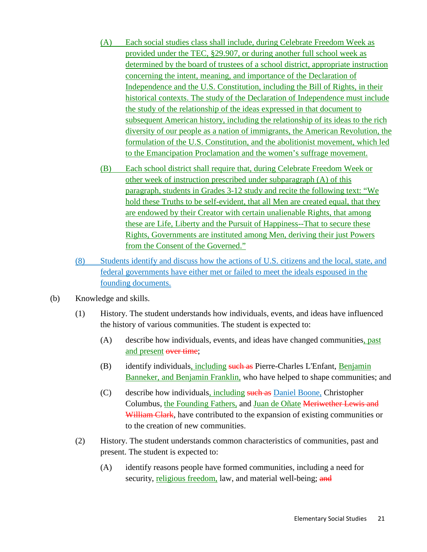- (A) Each social studies class shall include, during Celebrate Freedom Week as provided under the TEC, §29.907, or during another full school week as determined by the board of trustees of a school district, appropriate instruction concerning the intent, meaning, and importance of the Declaration of Independence and the U.S. Constitution, including the Bill of Rights, in their historical contexts. The study of the Declaration of Independence must include the study of the relationship of the ideas expressed in that document to subsequent American history, including the relationship of its ideas to the rich diversity of our people as a nation of immigrants, the American Revolution, the formulation of the U.S. Constitution, and the abolitionist movement, which led to the Emancipation Proclamation and the women's suffrage movement.
- (B) Each school district shall require that, during Celebrate Freedom Week or other week of instruction prescribed under subparagraph (A) of this paragraph, students in Grades 3-12 study and recite the following text: "We hold these Truths to be self-evident, that all Men are created equal, that they are endowed by their Creator with certain unalienable Rights, that among these are Life, Liberty and the Pursuit of Happiness--That to secure these Rights, Governments are instituted among Men, deriving their just Powers from the Consent of the Governed."
- (8) Students identify and discuss how the actions of U.S. citizens and the local, state, and federal governments have either met or failed to meet the ideals espoused in the founding documents.
- (b) Knowledge and skills.
	- (1) History. The student understands how individuals, events, and ideas have influenced the history of various communities. The student is expected to:
		- (A) describe how individuals, events, and ideas have changed communities, past and present over time;
		- (B) identify individuals, including such as Pierre-Charles L'Enfant, Benjamin Banneker, and Benjamin Franklin, who have helped to shape communities; and
		- (C) describe how individuals, including such as Daniel Boone, Christopher Columbus, the Founding Fathers, and Juan de Oñate Meriwether Lewis and William Clark, have contributed to the expansion of existing communities or to the creation of new communities.
	- (2) History. The student understands common characteristics of communities, past and present. The student is expected to:
		- (A) identify reasons people have formed communities, including a need for security, religious freedom, law, and material well-being; and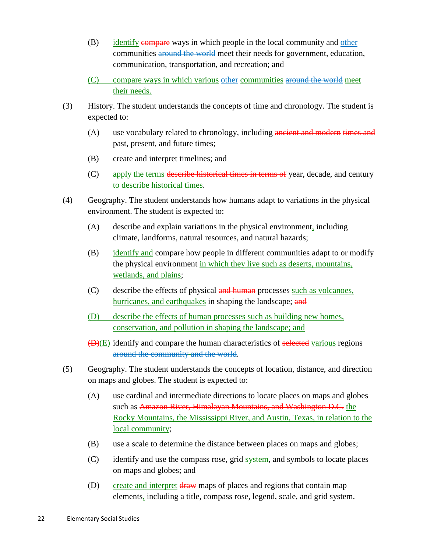- (B) identify compare ways in which people in the local community and other communities around the world meet their needs for government, education, communication, transportation, and recreation; and
- (C) compare ways in which various other communities around the world meet their needs.
- (3) History. The student understands the concepts of time and chronology. The student is expected to:
	- (A) use vocabulary related to chronology, including ancient and modern times and past, present, and future times;
	- (B) create and interpret timelines; and
	- (C) apply the terms describe historical times in terms of year, decade, and century to describe historical times .
- (4) Geography. The student understands how humans adapt to variations in the physical environment. The student is expected to:
	- (A) describe and explain variations in the physical environment, including climate, landforms, natural resources, and natural hazards;
	- (B) identify and compare how people in different communities adapt to or modify the physical environment in which they live such as deserts, mountains, wetlands, and plains;
	- (C) describe the effects of physical and human processes such as volcanoes, hurricanes, and earthquakes in shaping the landscape; and
	- (D) describe the effects of human processes such as building new homes, conservation, and pollution in shaping the landscape; and
	- (D)(E) identify and compare the human characteristics of selected various regions around the community and the world.
- (5) Geography. The student understands the concepts of location, distance, and direction on maps and globes. The student is expected to:
	- (A) use cardinal and intermediate directions to locate places on maps and globes such as Amazon River, Himalayan Mountains, and Washington D.C. the Rocky Mountains, the Mississippi River, and Austin, Texas, in relation to the local community;
	- (B) use a scale to determine the distance between places on maps and globes;
	- (C) identify and use the compass rose, grid system, and symbols to locate places on maps and globes; and
	- (D) create and interpret draw maps of places and regions that contain map elements, including a title, compass rose, legend, scale, and grid system.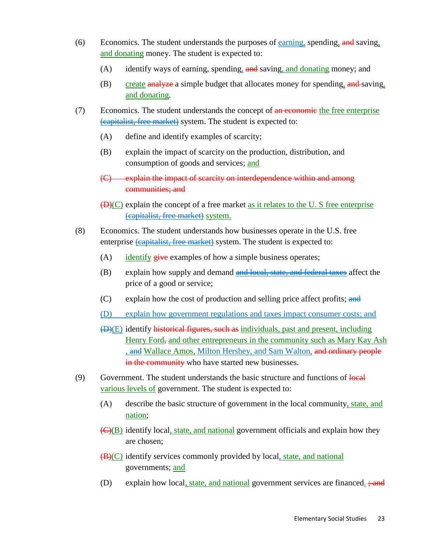- (6) Economics. The student understands the purposes of earning, spending, and saving, and donating money. The student is expected to:
	- (A) identify ways of earning, spending, and saving, and donating money; and
	- (B) create analyze a simple budget that allocates money for spending, and saving, and donating .
- (7) Economics. The student understands the concept of an economic the free enterprise (capitalist, free market) system. The student is expected to:
	- (A) define and identify examples of scarcity;
	- (B) explain the impact of scarcity on the production, distribution, and consumption of goods and services; and
	- (C) explain the impact of scarcity on interdependence within and among communities; and
	- $(H)(C)$  explain the concept of a free market as it relates to the U. S free enterprise (capitalist, free market) system.
- (8) Economics. The student understands how businesses operate in the U.S. free enterprise *capitalist, free market*) system. The student is expected to:
	- (A) identify give examples of how a simple business operates;
	- (B) explain how supply and demand and local, state, and federal taxes affect the price of a good or service;
	- $(C)$  explain how the cost of production and selling price affect profits; and
	- (D) explain how government regulations and taxes impact consumer costs; and
	- (D)(E) identify historical figures, such as individuals, past and present, including Henry Ford, and other entrepreneurs in the community such as Mary Kay Ash , and Wallace Amos, Milton Hershey, and Sam Walton, and ordinary people in the community who have started new businesses.
- $(9)$  Government. The student understands the basic structure and functions of  $\overline{\text{local}}$ various levels of government. The student is expected to:
	- (A) describe the basic structure of government in the local community, state, and nation;
	- (C)(B) identify local, state, and national government officials and explain how they are chosen;
	- (B)(C) identify services commonly provided by local, state, and national governments; <u>and</u>
	- (D) explain how local, state, and national government services are financed. ; and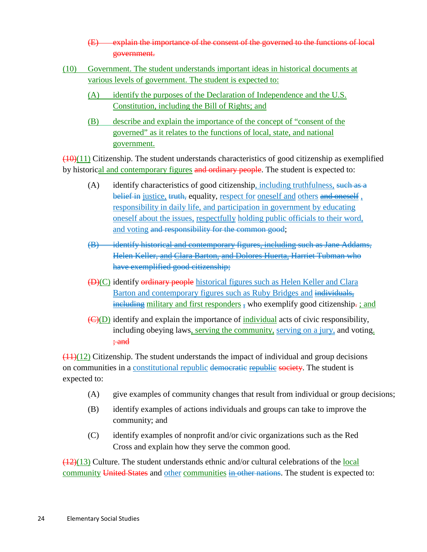- (E) explain the importance of the consent of the governed to the functions of local government.
- (10) Government. The student understands important ideas in historical documents at various levels of government. The student is expected to:
	- (A) identify the purposes of the Declaration of Independence and the U.S. Constitution, including the Bill of Rights; and
	- (B) describe and explain the importance of the concept of "consent of the governed" as it relates to the functions of local, state, and national government.

 $(10)(11)$  Citizenship. The student understands characteristics of good citizenship as exemplified by historical and contemporary figures and ordinary people. The student is expected to:

- (A) identify characteristics of good citizenship<u>, including truthfulness</u>, such as a belief in justice, truth, equality, respect for oneself and others and oneself, responsibility in daily life, and participation in government by educating oneself about the issues, respectfully holding public officials to their word, and voting and responsibility for the common good;
- (B) identify historical and contemporary figures, including such as Jane Addams, Helen Keller<del>, <u>and Clara Barton,</u> and Dolores Huerta, Harriet Tubman who</del> have exemplified good citizenship;
- (D)(C) identify ordinary people historical figures such as Helen Keller and Clara Barton and contemporary figures such as Ruby Bridges and individuals, including military and first responders  $_5$  who exemplify good citizenship<del>.</del> ; and
- (C)(D) identify and explain the importance of **individual** acts of civic responsibility, including obeying laws<u>, serving the community, serving on a jury</u>, and voting. ; and

 $(11)(12)$  Citizenship. The student understands the impact of individual and group decisions on communities in a constitutional republic democratic republic society. The student is expected to:

- (A) give examples of community changes that result from individual or group decisions;
- (B) identify examples of actions individuals and groups can take to improve the community; and
- (C) identify examples of nonprofit and/or civic organizations such as the Red Cross and explain how they serve the common good.

 $(12)(13)$  Culture. The student understands ethnic and/or cultural celebrations of the local community United States and other communities in other nations. The student is expected to: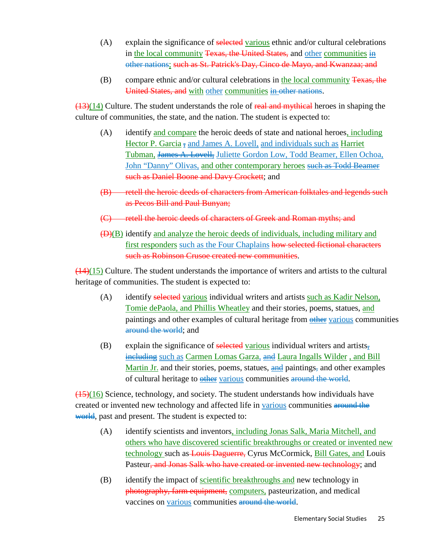- (A) explain the significance of selected various ethnic and/or cultural celebrations in the local community Texas, the United States, and other communities in other nations; such as St. Patrick's Day, Cinco de Mayo, and Kwanzaa; and
- (B) compare ethnic and/or cultural celebrations in the local community Texas, the United States, and with other communities in other nations.

 $(13)(14)$  Culture. The student understands the role of real and mythical heroes in shaping the culture of communities, the state, and the nation. The student is expected to:

- (A) identify and compare the heroic deeds of state and national heroes, including Hector P. Garcia  $\frac{1}{2}$  and James A. Lovell, and individuals such as Harriet Tubman, James A. Lovell, Juliette Gordon Low, Todd Beamer, Ellen Ochoa, John "Danny" Olivas, and other contemporary heroes such as Todd Beamer such as Daniel Boone and Davy Crockett; and
- (B) retell the heroic deeds of characters from American folktales and legends such as Pecos Bill and Paul Bunyan;
- (C) retell the heroic deeds of characters of Greek and Roman myths; and
- (D)(B) identify and analyze the heroic deeds of individuals, including military and first responders such as the Four Chaplains how selected fictional characters such as Robinson Crusoe created new communities.

 $\left(\frac{14}{15}\right)$  Culture. The student understands the importance of writers and artists to the cultural heritage of communities. The student is expected to:

- (A) identify selected various individual writers and artists such as Kadir Nelson, Tomie dePaola, and Phillis Wheatley and their stories, poems, statues, and paintings and other examples of cultural heritage from **other** various communities around the world; and
- (B) explain the significance of selected various individual writers and artists<sub> $\bar{x}$ </sub> including such as Carmen Lomas Garza, and Laura Ingalls Wilder, and Bill Martin Jr. and their stories, poems, statues, and paintings, and other examples of cultural heritage to **other** various communities around the world.

 $\left(\frac{(15)(16)}{(15)(16)}\right)$  Science, technology, and society. The student understands how individuals have created or invented new technology and affected life in various communities around the world, past and present. The student is expected to:

- (A) identify scientists and inventors, including Jonas Salk, Maria Mitchell, and others who have discovered scientific breakthroughs or created or invented new technology such as Louis Daguerre, Cyrus McCormick, **Bill Gates**, and Louis Pasteur, and Jonas Salk who have created or invented new technology; and
- (B) identify the impact of **scientific breakthroughs and** new technology in photography, farm equipment, computers, pasteurization, and medical vaccines on various communities around the world.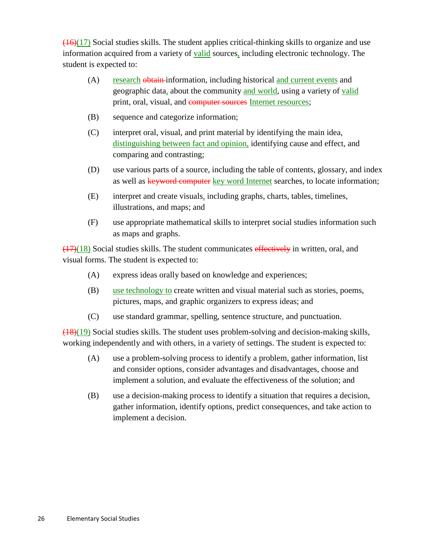$(16)(17)$  Social studies skills. The student applies critical-thinking skills to organize and use information acquired from a variety of **valid** sources, including electronic technology. The student is expected to:

- $(A)$ research obtain information, including historical and current events and geographic data, about the community and world, using a variety of valid print, oral, visual, and computer sources Internet resources;
- (B) sequence and categorize information;
- (C) interpret oral, visual, and print material by identifying the main idea, distinguishing between fact and opinion, identifying cause and effect, and comparing and contrasting;
- (D) use various parts of a source, including the table of contents, glossary, and index as well as keyword computer key word Internet searches, to locate information;
- (E) interpret and create visuals, including graphs, charts, tables, timelines, illustrations, and maps; and
- (F) use appropriate mathematical skills to interpret social studies information such as maps and graphs.

 $(17)(18)$  Social studies skills. The student communicates effectively in written, oral, and visual forms. The student is expected to:

- (A) express ideas orally based on knowledge and experiences;
- (B) use technology to create written and visual material such as stories, poems, pictures, maps, and graphic organizers to express ideas; and
- (C) use standard grammar, spelling, sentence structure, and punctuation.

 $(18)(19)$  Social studies skills. The student uses problem-solving and decision-making skills, working independently and with others, in a variety of settings. The student is expected to:

- (A) use a problem-solving process to identify a problem, gather information, list and consider options, consider advantages and disadvantages, choose and implement a solution, and evaluate the effectiveness of the solution; and
- (B) use a decision-making process to identify a situation that requires a decision, gather information, identify options, predict consequences, and take action to implement a decision.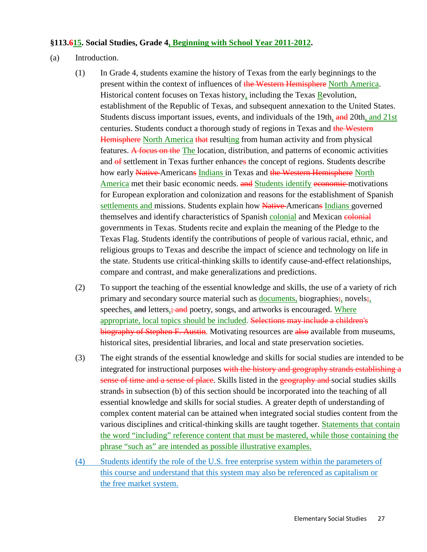#### **§113.615. Social Studies, Grade 4, Beginning with School Year 2011-2012 .**

- (a) Introduction.
	- (1) In Grade 4, students examine the history of Texas from the early beginnings to the present within the context of influences of the Western Hemisphere North America. Historical content focuses on Texas history, including the Texas Revolution, establishment of the Republic of Texas, and subsequent annexation to the United States. Students discuss important issues, events, and individuals of the 19th, and 20th, and 21st centuries. Students conduct a thorough study of regions in Texas and the Western Hemisphere North America that resulting from human activity and from physical features. A focus on the The location, distribution, and patterns of economic activities and  $\theta$  settlement in Texas further enhances the concept of regions. Students describe how early Native-Americans Indians in Texas and the Western Hemisphere North America met their basic economic needs. and Students identify economic motivations for European exploration and colonization and reasons for the establishment of Spanish settlements and missions. Students explain how Native Americans Indians governed themselves and identify characteristics of Spanish colonial and Mexican colonial governments in Texas. Students recite and explain the meaning of the Pledge to the Texas Flag. Students identify the contributions of people of various racial, ethnic, and religious groups to Texas and describe the impact of science and technology on life in the state. Students use critical-thinking skills to identify cause-and-effect relationships, compare and contrast, and make generalizations and predictions.
	- (2) To support the teaching of the essential knowledge and skills, the use of a variety of rich primary and secondary source material such as **documents**, biographies;, novels; speeches, and letters, and poetry, songs, and artworks is encouraged. Where appropriate, local topics should be included. Selections may include a children's biography of Stephen F. Austin. Motivating resources are also available from museums, historical sites, presidential libraries, and local and state preservation societies.
	- (3) The eight strands of the essential knowledge and skills for social studies are intended to be integrated for instructional purposes with the history and geography strands establishing a sense of time and a sense of place. Skills listed in the geography and social studies skills strands in subsection (b) of this section should be incorporated into the teaching of all essential knowledge and skills for social studies. A greater depth of understanding of complex content material can be attained when integrated social studies content from the various disciplines and critical-thinking skills are taught together. **Statements that contain** the word "including" reference content that must be mastered, while those containing the phrase "such as" are intended as possible illustrative examples.
	- (4) Students identify the role of the U.S. free enterprise system within the parameters of this course and understand that this system may also be referenced as capitalism or the free market system.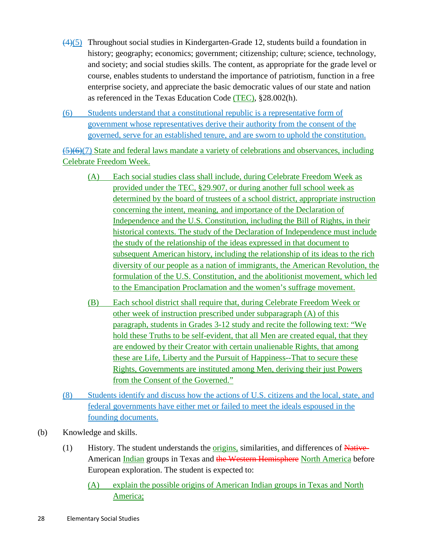- $(4)(5)$  Throughout social studies in Kindergarten-Grade 12, students build a foundation in history; geography; economics; government; citizenship; culture; science, technology, and society; and social studies skills. The content, as appropriate for the grade level or course, enables students to understand the importance of patriotism, function in a free enterprise society, and appreciate the basic democratic values of our state and nation as referenced in the Texas Education Code (TEC), §28.002(h).
- (6) Students understand that a constitutional republic is a representative form of government whose representatives derive their authority from the consent of the governed, serve for an established tenure, and are sworn to uphold the constitution.

 $(5)(6)(7)$  State and federal laws mandate a variety of celebrations and observances, including Celebrate Freedom Week.

- (A) Each social studies class shall include, during Celebrate Freedom Week as provided under the TEC, §29.907, or during another full school week as determined by the board of trustees of a school district, appropriate instruction concerning the intent, meaning, and importance of the Declaration of Independence and the U.S. Constitution, including the Bill of Rights, in their historical contexts. The study of the Declaration of Independence must include the study of the relationship of the ideas expressed in that document to subsequent American history, including the relationship of its ideas to the rich diversity of our people as a nation of immigrants, the American Revolution, the formulation of the U.S. Constitution, and the abolitionist movement, which led to the Emancipation Proclamation and the women's suffrage movement.
- (B) Each school district shall require that, during Celebrate Freedom Week or other week of instruction prescribed under subparagraph (A) of this paragraph, students in Grades 3-12 study and recite the following text: "We hold these Truths to be self-evident, that all Men are created equal, that they are endowed by their Creator with certain unalienable Rights, that among these are Life, Liberty and the Pursuit of Happiness--That to secure these Rights, Governments are instituted among Men, deriving their just Powers from the Consent of the Governed."
- (8) Students identify and discuss how the actions of U.S. citizens and the local, state, and federal governments have either met or failed to meet the ideals espoused in the founding documents.
- (b) Knowledge and skills.
	- (1) History. The student understands the *origins*, similarities, and differences of Native-American Indian groups in Texas and the Western Hemisphere North America before European exploration. The student is expected to:
		- (A) explain the possible origins of American Indian groups in Texas and North America;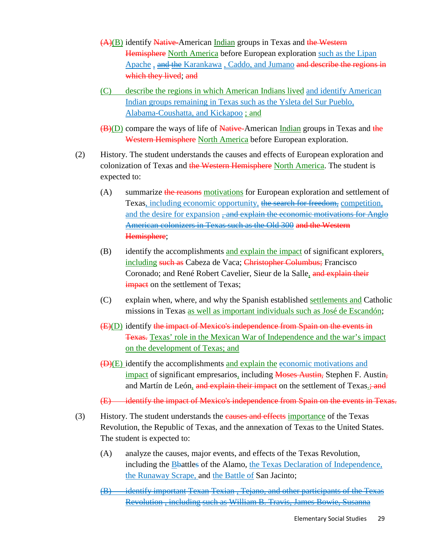- (A)(B) identify Native-American Indian groups in Texas and the Western Hemisphere North America before European exploration such as the Lipan Apache, and the Karankawa, Caddo, and Jumano and describe the regions in which they lived; and
- (C) describe the regions in which American Indians lived and identify American Indian groups remaining in Texas such as the Ysleta del Sur Pueblo, Alabama-Coushatta, and Kickapoo; and
- (B)(D) compare the ways of life of Native-American Indian groups in Texas and the Western Hemisphere North America before European exploration.
- (2) History. The student understands the causes and effects of European exploration and colonization of Texas and the Western Hemisphere North America. The student is expected to:
	- (A) summarize the reasons motivations for European exploration and settlement of Texas, including economic opportunity, the search for freedom, competition, and the desire for expansion , and explain the economic motivations for Anglo American colonizers in Texas such as the Old 300 and the Western Hemisphere;
	- (B) identify the accomplishments and explain the impact of significant explorers, including such as Cabeza de Vaca; Christopher Columbus; Francisco Coronado; and René Robert Cavelier, Sieur de la Salle, and explain their **impact** on the settlement of Texas;
	- (C) explain when, where, and why the Spanish established **settlements and** Catholic missions in Texas as well as important individuals such as José de Escandón;
	- (E)(D) identify the impact of Mexico's independence from Spain on the events in Texas. Texas' role in the Mexican War of Independence and the war's impact on the development of Texas; and
	- (D)(E) identify the accomplishments and explain the economic motivations and impact of significant empresarios, including Moses Austin, Stephen F. Austin, and Martín de León, and explain their impact on the settlement of Texas.; and
	- (E) identify the impact of Mexico's independence from Spain on the events in Texas.
- (3) History. The student understands the **causes and effects** importance of the Texas Revolution, the Republic of Texas, and the annexation of Texas to the United States. The student is expected to:
	- (A) analyze the causes, major events, and effects of the Texas Revolution, including the **B**battles of the Alamo, the Texas Declaration of Independence, the Runaway Scrape, and the Battle of San Jacinto;
	- (B) identify important Texan Texian , Tejano, and other participants of the Texas Revolution , including such as William B. Travis, James Bowie, Susanna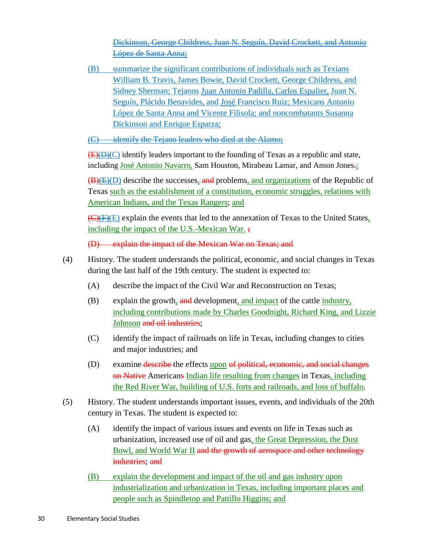Dickinson, George Childress, Juan N. Seguín, David Crockett, and Antonio López de Santa Anna;

(B) summarize the significant contributions of individuals such as Texians William B. Travis, James Bowie, David Crockett, George Childress, and Sidney Sherman; Tejanos Juan Antonio Padilla, Carlos Espalier, Juan N. Seguín, Plácido Benavides, and José Francisco Ruiz; Mexicans Antonio López de Santa Anna and Vicente Filisola; and noncombatants Susanna Dickinson and Enrique Esparza;

(C) identify the Tejano leaders who died at the Alamo:

 $(E)(D)(C)$  identify leaders important to the founding of Texas as a republic and state, including *José Antonio Navarro*, Sam Houston, Mirabeau Lamar, and Anson Jones<del>.</del>;

(B)(E)(D) describe the successes, and problems, and organizations of the Republic of Texas such as the establishment of a constitution, economic struggles, relations with American Indians, and the Texas Rangers; and

 $\overline{(C)(F)(E)}$  explain the events that led to the annexation of Texas to the United States, including the impact of the U.S.-Mexican War.;

(D) explain the impact of the Mexican War on Texas; and

- (4) History. The student understands the political, economic, and social changes in Texas during the last half of the 19th century. The student is expected to:
	- (A) describe the impact of the Civil War and Reconstruction on Texas;
	- (B) explain the growth,  $\frac{and}{in}$  development, and impact of the cattle industry, including contributions made by Charles Goodnight, Richard King, and Lizzie **Johnson** and oil industries;
	- (C) identify the impact of railroads on life in Texas, including changes to cities and major industries; and
	- (D) examine describe the effects upon of political, economic, and social changes on Native Americans Indian life resulting from changes in Texas, including the Red River War, building of U.S. forts and railroads, and loss of buffalo .
- (5) History. The student understands important issues, events, and individuals of the 20th century in Texas. The student is expected to:
	- (A) identify the impact of various issues and events on life in Texas such as urbanization, increased use of oil and gas, the Great Depression, the Dust Bowl, and World War II and the growth of aerospace and other technology industries; and
	- (B) explain the development and impact of the oil and gas industry upon industrialization and urbanization in Texas, including important places and people such as Spindletop and Pattillo Higgins; and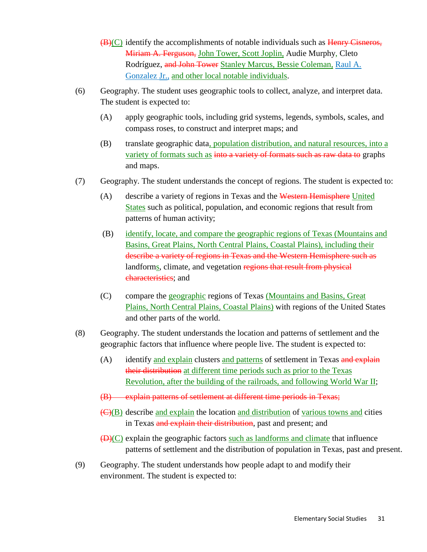- $(B)(C)$  identify the accomplishments of notable individuals such as  $H_{\text{enry}}$  Cisneros, Miriam A. Ferguson, John Tower, Scott Joplin, Audie Murphy, Cleto Rodríguez, and John Tower Stanley Marcus, Bessie Coleman, Raul A. Gonzalez Jr., and other local notable individuals.
- (6) Geography. The student uses geographic tools to collect, analyze, and interpret data. The student is expected to:
	- (A) apply geographic tools, including grid systems, legends, symbols, scales, and compass roses, to construct and interpret maps; and
	- (B) translate geographic data, population distribution, and natural resources, into a variety of formats such as into a variety of formats such as raw data to graphs and maps.
- (7) Geography. The student understands the concept of regions. The student is expected to:
	- (A) describe a variety of regions in Texas and the Western Hemisphere United States such as political, population, and economic regions that result from patterns of human activity;
	- (B) identify, locate, and compare the geographic regions of Texas (Mountains and Basins, Great Plains, North Central Plains, Coastal Plains), including their describe a variety of regions in Texas and the Western Hemisphere such as landforms, climate, and vegetation regions that result from physical characteristics; and
	- (C) compare the geographic regions of Texas (Mountains and Basins, Great Plains, North Central Plains, Coastal Plains) with regions of the United States and other parts of the world.
- (8) Geography. The student understands the location and patterns of settlement and the geographic factors that influence where people live. The student is expected to:
	- (A) identify and explain clusters and patterns of settlement in Texas and explain their distribution at different time periods such as prior to the Texas Revolution, after the building of the railroads, and following World War II;
	- (B) explain patterns of settlement at different time periods in Texas;
	- (C)(B) describe and explain the location and distribution of various towns and cities in Texas and explain their distribution, past and present; and
	- (D)(C) explain the geographic factors such as landforms and climate that influence patterns of settlement and the distribution of population in Texas, past and present.
- (9) Geography. The student understands how people adapt to and modify their environment. The student is expected to: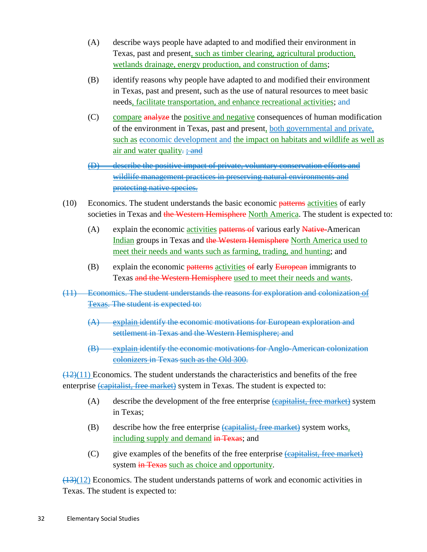- (A) describe ways people have adapted to and modified their environment in Texas, past and present, such as timber clearing, agricultural production, wetlands drainage, energy production, and construction of dams;
- (B) identify reasons why people have adapted to and modified their environment in Texas, past and present, such as the use of natural resources to meet basic needs, facilitate transportation, and enhance recreational activities; and
- (C) compare analyze the positive and negative consequences of human modification of the environment in Texas, past and present, both governmental and private, such as economic development and the impact on habitats and wildlife as well as air and water quality.  $\frac{1}{2}$  and

(D) describe the positive impact of private, voluntary conservation efforts and wildlife management practices in preserving natural environments and protecting native species.

- (10) Economics. The student understands the basic economic patterns activities of early societies in Texas and the Western Hemisphere North America. The student is expected to:
	- (A) explain the economic *activities* patterns of various early **Native-**American Indian groups in Texas and the Western Hemisphere North America used to meet their needs and wants such as farming, trading, and hunting; and
	- (B) explain the economic patterns activities of early European immigrants to Texas and the Western Hemisphere used to meet their needs and wants.
- (11) Economics. The student understands the reasons for exploration and colonization of Texas. The student is expected to:
	- (A) explain identify the economic motivations for European exploration and settlement in Texas and the Western Hemisphere; and
	- $(B)$ explain identify the economic motivations for Anglo-American colonization colonizers in Texas such as the Old 300 .

 $\frac{(12)(11)}{2}$  Economics. The student understands the characteristics and benefits of the free enterprise *capitalist, free market* system in Texas. The student is expected to:

- (A) describe the development of the free enterprise *capitalist*, free market by system in Texas;
- (B) describe how the free enterprise  $\frac{1}{2}$  describe how the free enterprise  $\frac{1}{2}$  describe how the free enterprise  $\frac{1}{2}$  describe how the free enterprise  $\frac{1}{2}$  describes how the free enterprise  $\frac{1}{2}$  de including supply and demand in Texas; and
- (C) give examples of the benefits of the free enterprise *capitalist, free market*) system in Texas such as choice and opportunity.

 $(13)(12)$  Economics. The student understands patterns of work and economic activities in Texas. The student is expected to: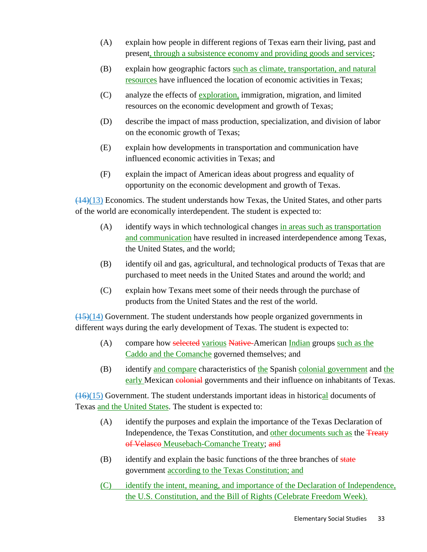- (A) explain how people in different regions of Texas earn their living, past and present, through a subsistence economy and providing goods and services;
- (B) explain how geographic factors such as climate, transportation, and natural resources have influenced the location of economic activities in Texas;
- (C) analyze the effects of exploration, immigration, migration, and limited resources on the economic development and growth of Texas;
- (D) describe the impact of mass production, specialization, and division of labor on the economic growth of Texas;
- (E) explain how developments in transportation and communication have influenced economic activities in Texas; and
- (F) explain the impact of American ideas about progress and equality of opportunity on the economic development and growth of Texas.

 $\left(\frac{(14)}{(13)}\right)$  Economics. The student understands how Texas, the United States, and other parts of the world are economically interdependent. The student is expected to:

- (A) identify ways in which technological changes in areas such as transportation and communication have resulted in increased interdependence among Texas, the United States, and the world;
- (B) identify oil and gas, agricultural, and technological products of Texas that are purchased to meet needs in the United States and around the world; and
- (C) explain how Texans meet some of their needs through the purchase of products from the United States and the rest of the world.

 $\frac{(15)(14)}{(15)(14)}$  Government. The student understands how people organized governments in different ways during the early development of Texas. The student is expected to:

- (A) compare how selected various Native-American Indian groups such as the Caddo and the Comanche governed themselves; and
- (B) identify and compare characteristics of the Spanish colonial government and the early Mexican colonial governments and their influence on inhabitants of Texas.

(16)(15) Government. The student understands important ideas in historical documents of Texas and the United States. The student is expected to:

- (A) identify the purposes and explain the importance of the Texas Declaration of Independence, the Texas Constitution, and other documents such as the Treaty of Velasco Meusebach-Comanche Treaty; and
- $(B)$  identify and explain the basic functions of the three branches of state government according to the Texas Constitution; and
- (C) identify the intent, meaning, and importance of the Declaration of Independence, the U.S. Constitution, and the Bill of Rights (Celebrate Freedom Week).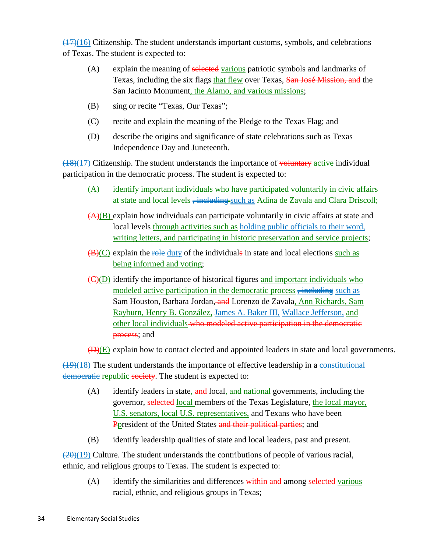$\left(\frac{(17)}{(16)}\right)$  Citizenship. The student understands important customs, symbols, and celebrations of Texas. The student is expected to:

- (A) explain the meaning of selected various patriotic symbols and landmarks of Texas, including the six flags that flew over Texas, San José Mission, and the San Jacinto Monument, the Alamo, and various missions;
- (B) sing or recite "Texas, Our Texas";
- (C) recite and explain the meaning of the Pledge to the Texas Flag; and
- (D) describe the origins and significance of state celebrations such as Texas Independence Day and Juneteenth.

 $(18)(17)$  Citizenship. The student understands the importance of voluntary active individual participation in the democratic process. The student is expected to:

- (A) identify important individuals who have participated voluntarily in civic affairs at state and local levels <del>, including s</del>uch as Adina de Zavala and Clara Driscoll;
- (A)(B) explain how individuals can participate voluntarily in civic affairs at state and local levels through activities such as holding public officials to their word, writing letters, and participating in historic preservation and service projects;
- $(B)(C)$  explain the role duty of the individuals in state and local elections such as being informed and voting;
- (C)(D) identify the importance of historical figures and important individuals who modeled active participation in the democratic process  $\frac{1}{2}$  including such as Sam Houston, Barbara Jordan, and Lorenzo de Zavala, Ann Richards, Sam Rayburn, Henry B. González, James A. Baker III, Wallace Jefferson, and other local individuals who modeled active participation in the democratic **process**; and

 $\overline{(D)(E)}$  explain how to contact elected and appointed leaders in state and local governments.

 $(19)(18)$  The student understands the importance of effective leadership in a constitutional democratic republic society. The student is expected to:

- (A) identify leaders in state, and local, and national governments, including the governor, selected local members of the Texas Legislature, the local mayor, U.S. senators, local U.S. representatives, and Texans who have been Ppresident of the United States and their political parties; and
- (B) identify leadership qualities of state and local leaders, past and present.

 $(20)(19)$  Culture. The student understands the contributions of people of various racial, ethnic, and religious groups to Texas. The student is expected to:

(A) identify the similarities and differences within and among selected various racial, ethnic, and religious groups in Texas;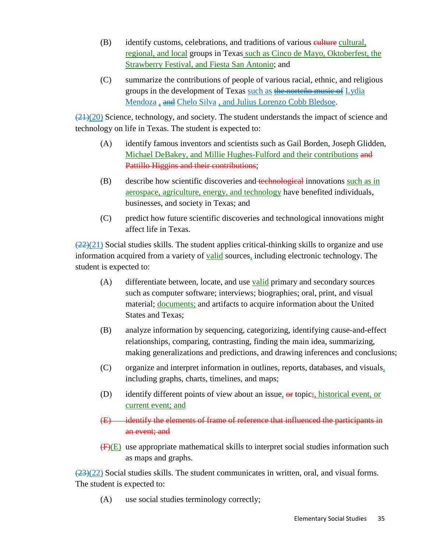- (B) identify customs, celebrations, and traditions of various eulture cultural, regional, and local groups in Texas such as Cinco de Mayo, Oktoberfest, the Strawberry Festival, and Fiesta San Antonio; and
- (C) summarize the contributions of people of various racial, ethnic, and religious groups in the development of Texas such as the norteño music of Lydia Mendoza<sub>s</sub> and Chelo Silva, and Julius Lorenzo Cobb Bledsoe.

 $\left(\frac{(21)(20)}{(21)(20)}\right)$  Science, technology, and society. The student understands the impact of science and technology on life in Texas. The student is expected to:

- (A) identify famous inventors and scientists such as Gail Borden, Joseph Glidden, Michael DeBakey, and Millie Hughes-Fulford and their contributions and Pattillo Higgins and their contributions;
- (B) describe how scientific discoveries and technological innovations such as in aerospace, agriculture, energy, and technology have benefited individuals, businesses, and society in Texas; and
- (C) predict how future scientific discoveries and technological innovations might affect life in Texas.

 $(22)(21)$  Social studies skills. The student applies critical-thinking skills to organize and use information acquired from a variety of **valid** sources, including electronic technology. The student is expected to:

- (A) differentiate between, locate, and use **valid** primary and secondary sources such as computer software; interviews; biographies; oral, print, and visual material; *documents*; and artifacts to acquire information about the United States and Texas;
- (B) analyze information by sequencing, categorizing, identifying cause-and-effect relationships, comparing, contrasting, finding the main idea, summarizing, making generalizations and predictions, and drawing inferences and conclusions;
- (C) organize and interpret information in outlines, reports, databases, and visuals, including graphs, charts, timelines, and maps;
- (D) identify different points of view about an issue, or topic; historical event, or current event; and
- (E) identify the elements of frame of reference that influenced the participants in an event; and
- $(F)(E)$  use appropriate mathematical skills to interpret social studies information such as maps and graphs.

 $\frac{(23)(22)}{2}$  Social studies skills. The student communicates in written, oral, and visual forms. The student is expected to:

(A) use social studies terminology correctly;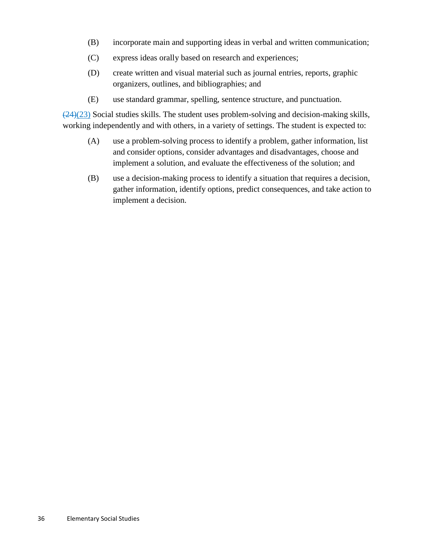- (B) incorporate main and supporting ideas in verbal and written communication;
- (C) express ideas orally based on research and experiences;
- (D) create written and visual material such as journal entries, reports, graphic organizers, outlines, and bibliographies; and
- (E) use standard grammar, spelling, sentence structure, and punctuation.

 $\frac{(24)(23)}{24}$  Social studies skills. The student uses problem-solving and decision-making skills, working independently and with others, in a variety of settings. The student is expected to:

- (A) use a problem-solving process to identify a problem, gather information, list and consider options, consider advantages and disadvantages, choose and implement a solution, and evaluate the effectiveness of the solution; and
- (B) use a decision-making process to identify a situation that requires a decision, gather information, identify options, predict consequences, and take action to implement a decision.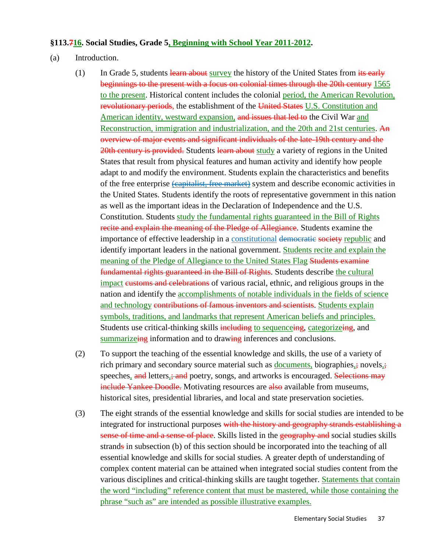#### **§113.716. Social Studies, Grade 5, Beginning with School Year 2011-2012 .**

- (a) Introduction.
	- (1) In Grade 5, students learn about survey the history of the United States from  $\frac{1}{18}$  early beginnings to the present with a focus on colonial times through the 20th century 1565 to the present. Historical content includes the colonial period, the American Revolution, revolutionary periods, the establishment of the United States U.S. Constitution and American identity, westward expansion, and issues that led to the Civil War and Reconstruction, immigration and industrialization, and the 20th and 21st centuries. An overview of major events and significant individuals of the late-19th century and the 20th century is provided. Students learn about study a variety of regions in the United States that result from physical features and human activity and identify how people adapt to and modify the environment. Students explain the characteristics and benefits of the free enterprise (capitalist, free market) system and describe economic activities in the United States. Students identify the roots of representative government in this nation as well as the important ideas in the Declaration of Independence and the U.S. Constitution. Students study the fundamental rights guaranteed in the Bill of Rights recite and explain the meaning of the Pledge of Allegiance. Students examine the importance of effective leadership in a constitutional democratic society republic and identify important leaders in the national government. Students recite and explain the meaning of the Pledge of Allegiance to the United States Flag Students examine fundamental rights guaranteed in the Bill of Rights. Students describe the cultural impact customs and celebrations of various racial, ethnic, and religious groups in the nation and identify the accomplishments of notable individuals in the fields of science and technology contributions of famous inventors and scientists. Students explain symbols, traditions, and landmarks that represent American beliefs and principles. Students use critical-thinking skills including to sequenceing, categorizeing, and summarizeing information and to drawing inferences and conclusions.
	- (2) To support the teaching of the essential knowledge and skills, the use of a variety of rich primary and secondary source material such as **documents**, biographies<sub>a</sub>; novels<sub>a</sub>; speeches, and letters, and poetry, songs, and artworks is encouraged. Selections may include Yankee Doodle. Motivating resources are also available from museums, historical sites, presidential libraries, and local and state preservation societies.
	- (3) The eight strands of the essential knowledge and skills for social studies are intended to be integrated for instructional purposes with the history and geography strands establishing a sense of time and a sense of place. Skills listed in the geography and social studies skills strands in subsection (b) of this section should be incorporated into the teaching of all essential knowledge and skills for social studies. A greater depth of understanding of complex content material can be attained when integrated social studies content from the various disciplines and critical-thinking skills are taught together. **Statements that contain** the word "including" reference content that must be mastered, while those containing the phrase "such as" are intended as possible illustrative examples.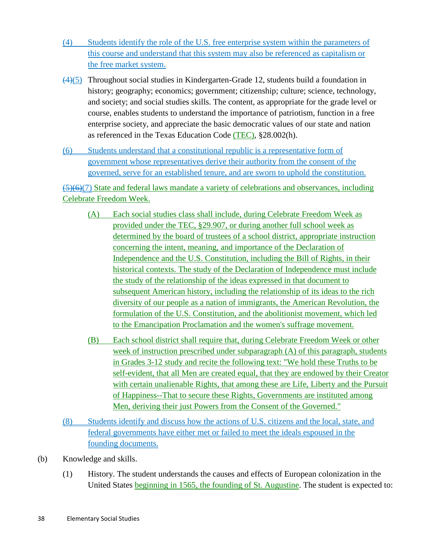- (4) Students identify the role of the U.S. free enterprise system within the parameters of this course and understand that this system may also be referenced as capitalism or the free market system.
- (4) (5) Throughout social studies in Kindergarten-Grade 12, students build a foundation in history; geography; economics; government; citizenship; culture; science, technology, and society; and social studies skills. The content, as appropriate for the grade level or course, enables students to understand the importance of patriotism, function in a free enterprise society, and appreciate the basic democratic values of our state and nation as referenced in the Texas Education Code (TEC), §28.002(h).
- (6) Students understand that a constitutional republic is a representative form of government whose representatives derive their authority from the consent of the governed, serve for an established tenure, and are sworn to uphold the constitution.

 $\left(\frac{5}{6}\right)$ (7) State and federal laws mandate a variety of celebrations and observances, including Celebrate Freedom Week.

- (A) Each social studies class shall include, during Celebrate Freedom Week as provided under the TEC, §29.907, or during another full school week as determined by the board of trustees of a school district, appropriate instruction concerning the intent, meaning, and importance of the Declaration of Independence and the U.S. Constitution, including the Bill of Rights, in their historical contexts. The study of the Declaration of Independence must include the study of the relationship of the ideas expressed in that document to subsequent American history, including the relationship of its ideas to the rich diversity of our people as a nation of immigrants, the American Revolution, the formulation of the U.S. Constitution, and the abolitionist movement, which led to the Emancipation Proclamation and the women's suffrage movement.
- (B) Each school district shall require that, during Celebrate Freedom Week or other week of instruction prescribed under subparagraph (A) of this paragraph, students in Grades 3-12 study and recite the following text: "We hold these Truths to be self-evident, that all Men are created equal, that they are endowed by their Creator with certain unalienable Rights, that among these are Life, Liberty and the Pursuit of Happiness--That to secure these Rights, Governments are instituted among Men, deriving their just Powers from the Consent of the Governed."
- (8) Students identify and discuss how the actions of U.S. citizens and the local, state, and federal governments have either met or failed to meet the ideals espoused in the founding documents.
- (b) Knowledge and skills.
	- (1) History. The student understands the causes and effects of European colonization in the United States beginning in 1565, the founding of St. Augustine. The student is expected to: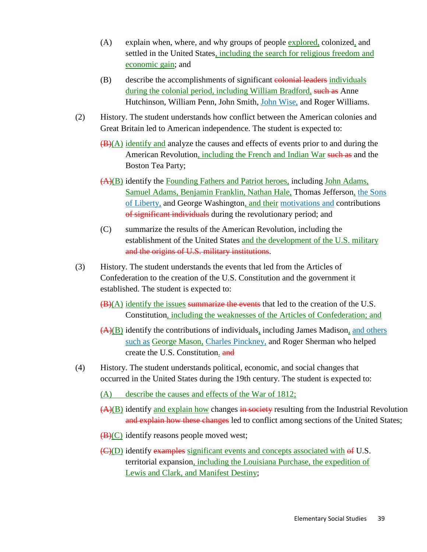- (A) explain when, where, and why groups of people explored, colonized, and settled in the United States, including the search for religious freedom and economic gain; and
- (B) describe the accomplishments of significant colonial leaders individuals during the colonial period, including William Bradford, such as Anne Hutchinson, William Penn, John Smith, *John Wise*, and Roger Williams.
- (2) History. The student understands how conflict between the American colonies and Great Britain led to American independence. The student is expected to:
	- $(\mathbf{B})(\mathbf{A})$  identify and analyze the causes and effects of events prior to and during the American Revolution, *including the French and Indian War such as and the* Boston Tea Party;
	- (A)(B) identify the **Founding Fathers and Patriot heroes**, including **John Adams**, Samuel Adams, Benjamin Franklin, Nathan Hale, Thomas Jefferson, the Sons of Liberty, and George Washington, and their motivations and contributions of significant individuals during the revolutionary period; and
	- (C) summarize the results of the American Revolution, including the establishment of the United States and the development of the U.S. military and the origins of U.S. military institutions.
- (3) History. The student understands the events that led from the Articles of Confederation to the creation of the U.S. Constitution and the government it established. The student is expected to:
	- $(B)(A)$  identify the issues summarize the events that led to the creation of the U.S. Constitution, including the weaknesses of the Articles of Confederation; and
	- $(A)(B)$  identify the contributions of individuals, including James Madison, and others such as George Mason, Charles Pinckney, and Roger Sherman who helped create the U.S. Constitution. and
- (4) History. The student understands political, economic, and social changes that occurred in the United States during the 19th century. The student is expected to:
	- (A) describe the causes and effects of the War of 1812;
	- (A)(B) identify and explain how changes in society resulting from the Industrial Revolution and explain how these changes led to conflict among sections of the United States;
	- (B)(C) identify reasons people moved west;
	- (C)(D) identify examples significant events and concepts associated with of U.S. territorial expansion, including the Louisiana Purchase, the expedition of Lewis and Clark, and Manifest Destiny;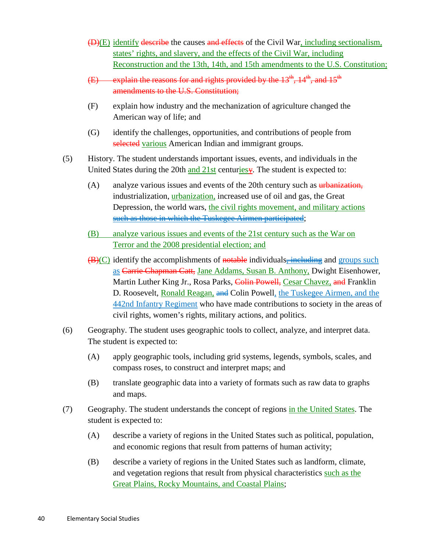- (D)(E) identify describe the causes and effects of the Civil War, including sectionalism, states' rights, and slavery, and the effects of the Civil War, including Reconstruction and the 13th, 14th, and 15th amendments to the U.S. Constitution;
- (E) explain the reasons for and rights provided by the  $13^{th}$ ,  $14^{th}$ , and  $15^{th}$ amendments to the U.S. Constitution;
- (F) explain how industry and the mechanization of agriculture changed the American way of life; and
- (G) identify the challenges, opportunities, and contributions of people from selected various American Indian and immigrant groups.
- (5) History. The student understands important issues, events, and individuals in the United States during the 20th and 21st centuriesy. The student is expected to:
	- (A) analyze various issues and events of the 20th century such as  $\frac{1}{2}$  urbanization, industrialization, *urbanization*, increased use of oil and gas, the Great Depression, the world wars, the civil rights movement, and military actions such as those in which the Tuskegee Airmen participated;
	- (B) analyze various issues and events of the 21st century such as the War on Terror and the 2008 presidential election; and
	- (B)(C) identify the accomplishments of notable individuals-including and groups such as Carrie Chapman Catt, Jane Addams, Susan B. Anthony, Dwight Eisenhower, Martin Luther King Jr., Rosa Parks, Colin Powell, Cesar Chavez, and Franklin D. Roosevelt, **Ronald Reagan, and Colin Powell**, the Tuskegee Airmen, and the 442nd Infantry Regiment who have made contributions to society in the areas of civil rights, women's rights, military actions, and politics.
- (6) Geography. The student uses geographic tools to collect, analyze, and interpret data. The student is expected to:
	- (A) apply geographic tools, including grid systems, legends, symbols, scales, and compass roses, to construct and interpret maps; and
	- (B) translate geographic data into a variety of formats such as raw data to graphs and maps.
- (7) Geography. The student understands the concept of regions in the United States. The student is expected to:
	- (A) describe a variety of regions in the United States such as political, population, and economic regions that result from patterns of human activity;
	- (B) describe a variety of regions in the United States such as landform, climate, and vegetation regions that result from physical characteristics such as the Great Plains, Rocky Mountains, and Coastal Plains;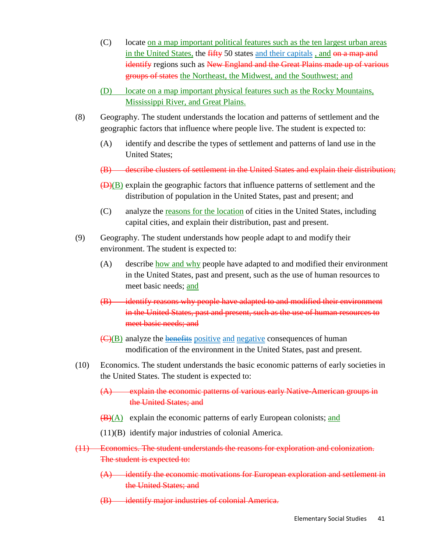- (C) locate on a map important political features such as the ten largest urban areas in the United States, the fifty 50 states and their capitals , and on a map and identify regions such as New England and the Great Plains made up of various groups of states the Northeast, the Midwest, and the Southwest; and
- (D) locate on a map important physical features such as the Rocky Mountains, Mississippi River, and Great Plains.
- (8) Geography. The student understands the location and patterns of settlement and the geographic factors that influence where people live. The student is expected to:
	- (A) identify and describe the types of settlement and patterns of land use in the United States;
	- (B) describe clusters of settlement in the United States and explain their distribution;
	- (D)(B) explain the geographic factors that influence patterns of settlement and the distribution of population in the United States, past and present; and
	- (C) analyze the reasons for the location of cities in the United States, including capital cities, and explain their distribution, past and present.
- (9) Geography. The student understands how people adapt to and modify their environment. The student is expected to:
	- (A) describe how and why people have adapted to and modified their environment in the United States, past and present, such as the use of human resources to meet basic needs; and
	- (B) identify reasons why people have adapted to and modified their environment in the United States, past and present, such as the use of human resources to meet basic needs; and
	- (C)(B) analyze the **benefits** positive and negative consequences of human modification of the environment in the United States, past and present.
- (10) Economics. The student understands the basic economic patterns of early societies in the United States. The student is expected to:
	- (A) explain the economic patterns of various early Native-American groups in the United States; and
	- (B)(A) explain the economic patterns of early European colonists; and
	- (11)(B) identify major industries of colonial America.
- (11) Economics. The student understands the reasons for exploration and colonization. The student is expected to:
	- $(A)$  identify the economic motivations for European exploration and settlement in the United States; and
	- (B) identify major industries of colonial America.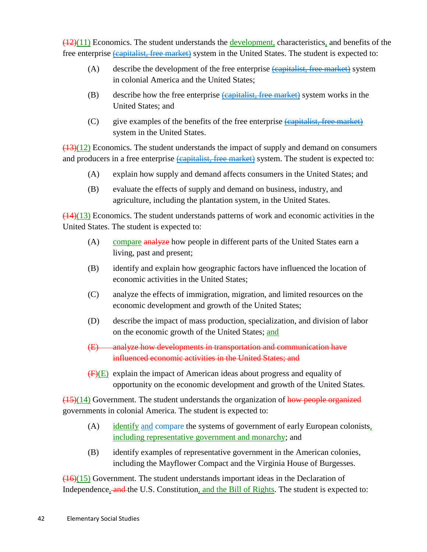$(12)(11)$  Economics. The student understands the development, characteristics, and benefits of the free enterprise **(capitalist, free market)** system in the United States. The student is expected to:

- (A) describe the development of the free enterprise *capitalist*, free market by system in colonial America and the United States;
- (B) describe how the free enterprise (capitalist, free market) system works in the United States; and
- (C) give examples of the benefits of the free enterprise (capitalist, free market) system in the United States.

 $\left(\frac{(13)(12)}{(13)}\right)$  Economics. The student understands the impact of supply and demand on consumers and producers in a free enterprise **(capitalist, free market)** system. The student is expected to:

- (A) explain how supply and demand affects consumers in the United States; and
- (B) evaluate the effects of supply and demand on business, industry, and agriculture, including the plantation system, in the United States.

 $(14)(13)$  Economics. The student understands patterns of work and economic activities in the United States. The student is expected to:

- (A) compare analyze how people in different parts of the United States earn a living, past and present;
- (B) identify and explain how geographic factors have influenced the location of economic activities in the United States;
- (C) analyze the effects of immigration, migration, and limited resources on the economic development and growth of the United States;
- (D) describe the impact of mass production, specialization, and division of labor on the economic growth of the United States; and
- (E) analyze how developments in transportation and communication have influenced economic activities in the United States; and
- $(F)(E)$  explain the impact of American ideas about progress and equality of opportunity on the economic development and growth of the United States.

 $\frac{(15)(14)}{(15)(14)}$  Government. The student understands the organization of how people organized governments in colonial America. The student is expected to:

- (A) identify and compare the systems of government of early European colonists, including representative government and monarchy; and
- (B) identify examples of representative government in the American colonies, including the Mayflower Compact and the Virginia House of Burgesses.

 $(16)(15)$  Government. The student understands important ideas in the Declaration of Independence, and the U.S. Constitution, and the Bill of Rights. The student is expected to: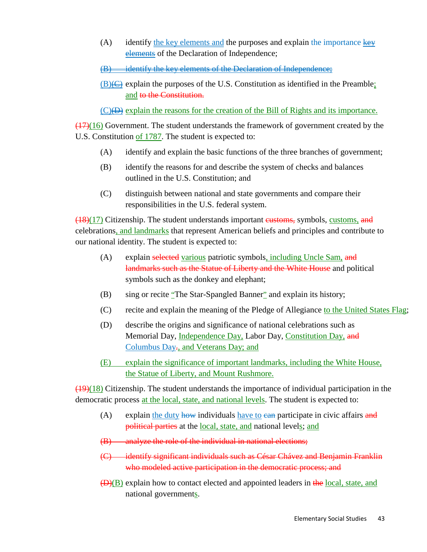- (A) identify the key elements and the purposes and explain the importance key elements of the Declaration of Independence;
- (B) identify the key elements of the Declaration of Independence;
- $\underline{(B)} \leftrightarrow$  explain the purposes of the U.S. Constitution as identified in the Preamble; and to the Constitution.

(C)  $\leftrightarrow$  explain the reasons for the creation of the Bill of Rights and its importance.

 $\frac{(17)(16)}{(17)(16)}$  Government. The student understands the framework of government created by the U.S. Constitution of 1787. The student is expected to:

- (A) identify and explain the basic functions of the three branches of government;
- (B) identify the reasons for and describe the system of checks and balances outlined in the U.S. Constitution; and
- (C) distinguish between national and state governments and compare their responsibilities in the U.S. federal system.

 $(18)(17)$  Citizenship. The student understands important eustoms, symbols, customs, and celebrations, and landmarks that represent American beliefs and principles and contribute to our national identity. The student is expected to:

- (A) explain selected various patriotic symbols, including Uncle Sam, and landmarks such as the Statue of Liberty and the White House and political symbols such as the donkey and elephant;
- (B) sing or recite "The Star-Spangled Banner" and explain its history;
- (C) recite and explain the meaning of the Pledge of Allegiance to the United States Flag;
- (D) describe the origins and significance of national celebrations such as Memorial Day, <u>Independence Day,</u> Labor Day, <u>Constitution Day,</u> <del>and</del> Columbus Day., and Veterans Day; and
- (E) explain the significance of important landmarks, including the White House, the Statue of Liberty, and Mount Rushmore.

 $(19)(18)$  Citizenship. The student understands the importance of individual participation in the democratic process at the local, state, and national levels. The student is expected to:

- (A) explain the duty how individuals have to ean participate in civic affairs and political parties at the <u>local, state, and</u> national levels; and
- (B) analyze the role of the individual in national elections;
- (C) identify significant individuals such as César Chávez and Benjamin Franklin who modeled active participation in the democratic process; and
- $(D)(B)$  explain how to contact elected and appointed leaders in the local, state, and national governments.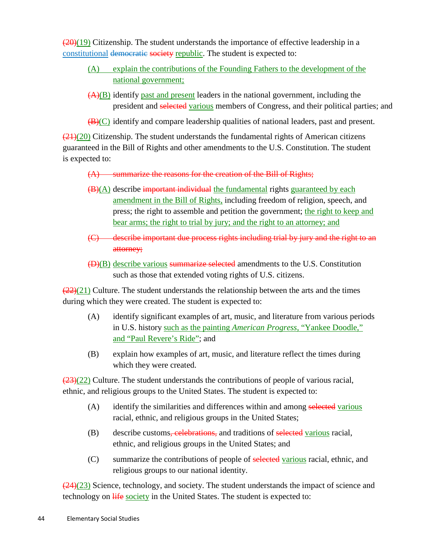$(20)(19)$  Citizenship. The student understands the importance of effective leadership in a constitutional democratic society republic. The student is expected to:

- (A) explain the contributions of the Founding Fathers to the development of the national government;
- $(A)(B)$  identify past and present leaders in the national government, including the president and selected various members of Congress, and their political parties; and
- $(B)(C)$  identify and compare leadership qualities of national leaders, past and present.

 $\left(\frac{21}{20}\right)$  Citizenship. The student understands the fundamental rights of American citizens guaranteed in the Bill of Rights and other amendments to the U.S. Constitution. The student is expected to:

(A) summarize the reasons for the creation of the Bill of Rights;

- (B)(A) describe important individual the fundamental rights guaranteed by each amendment in the Bill of Rights, including freedom of religion, speech, and press; the right to assemble and petition the government; the right to keep and bear arms; the right to trial by jury; and the right to an attorney; and
- (C) describe important due process rights including trial by jury and the right to an attorney;
- (D)(B) describe various summarize selected amendments to the U.S. Constitution such as those that extended voting rights of U.S. citizens.

 $\frac{(22)(21)}{2}$  Culture. The student understands the relationship between the arts and the times during which they were created. The student is expected to:

- (A) identify significant examples of art, music, and literature from various periods in U.S. history such as the painting *American Progress*, "Yankee Doodle," and "Paul Revere's Ride" ; and
- (B) explain how examples of art, music, and literature reflect the times during which they were created.

 $\left(\frac{(23)(22)}{2}\right)$  Culture. The student understands the contributions of people of various racial, ethnic, and religious groups to the United States. The student is expected to:

- (A) identify the similarities and differences within and among selected various racial, ethnic, and religious groups in the United States;
- (B) describe customs, celebrations, and traditions of selected various racial, ethnic, and religious groups in the United States; and
- (C) summarize the contributions of people of selected various racial, ethnic, and religious groups to our national identity.

 $\left(\frac{24}{23}\right)$  Science, technology, and society. The student understands the impact of science and technology on  $\frac{1}{2}$  is society in the United States. The student is expected to: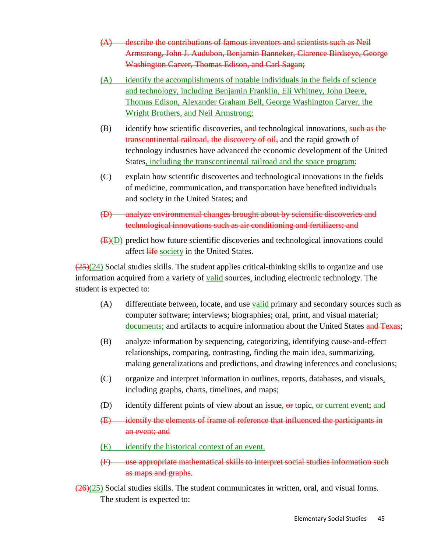- (A) describe the contributions of famous inventors and scientists such as Neil Armstrong, John J. Audubon, Benjamin Banneker, Clarence Birdseye, George Washington Carver, Thomas Edison, and Carl Sagan;
- (A) identify the accomplishments of notable individuals in the fields of science and technology, including Benjamin Franklin, Eli Whitney, John Deere, Thomas Edison, Alexander Graham Bell, George Washington Carver, the Wright Brothers, and Neil Armstrong;
- (B) identify how scientific discoveries, and technological innovations, such as the transcontinental railroad, the discovery of oil, and the rapid growth of technology industries have advanced the economic development of the United States, including the transcontinental railroad and the space program;
- (C) explain how scientific discoveries and technological innovations in the fields of medicine, communication, and transportation have benefited individuals and society in the United States; and
- (D) analyze environmental changes brought about by scientific discoveries and technological innovations such as air conditioning and fertilizers; and
- (E)(D) predict how future scientific discoveries and technological innovations could affect life society in the United States.

 $\left(\frac{25}{24}\right)$  Social studies skills. The student applies critical-thinking skills to organize and use information acquired from a variety of **valid** sources, including electronic technology. The student is expected to:

- (A) differentiate between, locate, and use **<u>valid</u>** primary and secondary sources such as computer software; interviews; biographies; oral, print, and visual material; documents; and artifacts to acquire information about the United States and Texas;
- (B) analyze information by sequencing, categorizing, identifying cause-and-effect relationships, comparing, contrasting, finding the main idea, summarizing, making generalizations and predictions, and drawing inferences and conclusions;
- (C) organize and interpret information in outlines, reports, databases, and visuals, including graphs, charts, timelines, and maps;
- (D) identify different points of view about an issue, or topic, or current event; and
- (E) identify the elements of frame of reference that influenced the participants in an event; and
- (E) identify the historical context of an event.
- (F) use appropriate mathematical skills to interpret social studies information such as maps and graphs.

 $\left(\frac{26}{25}\right)$  Social studies skills. The student communicates in written, oral, and visual forms. The student is expected to: